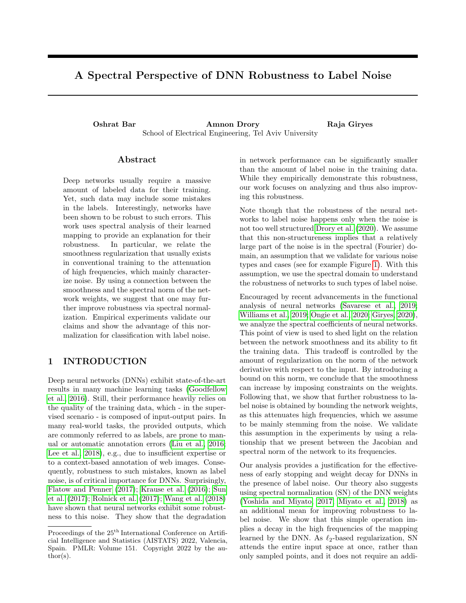# A Spectral Perspective of DNN Robustness to Label Noise

Oshrat Bar Amnon Drory Raja Giryes School of Electrical Engineering, Tel Aviv University

### Abstract

Deep networks usually require a massive amount of labeled data for their training. Yet, such data may include some mistakes in the labels. Interestingly, networks have been shown to be robust to such errors. This work uses spectral analysis of their learned mapping to provide an explanation for their robustness. In particular, we relate the smoothness regularization that usually exists in conventional training to the attenuation of high frequencies, which mainly characterize noise. By using a connection between the smoothness and the spectral norm of the network weights, we suggest that one may further improve robustness via spectral normalization. Empirical experiments validate our claims and show the advantage of this normalization for classification with label noise.

## 1 INTRODUCTION

Deep neural networks (DNNs) exhibit state-of-the-art results in many machine learning tasks [\(Goodfellow](#page-9-0) [et al., 2016\)](#page-9-0). Still, their performance heavily relies on the quality of the training data, which - in the supervised scenario - is composed of input-output pairs. In many real-world tasks, the provided outputs, which are commonly referred to as labels, are prone to manual or automatic annotation errors [\(Liu et al., 2016;](#page-10-0) [Lee et al., 2018\)](#page-10-1), e.g., due to insufficient expertise or to a context-based annotation of web images. Consequently, robustness to such mistakes, known as label noise, is of critical importance for DNNs. Surprisingly, [Flatow and Penner](#page-9-1) [\(2017\)](#page-9-1); [Krause et al.](#page-9-2) [\(2016\)](#page-9-2); [Sun](#page-10-2) [et al.](#page-10-2) [\(2017\)](#page-10-2); [Rolnick et al.](#page-10-3) [\(2017\)](#page-10-3); [Wang et al.](#page-11-0) [\(2018\)](#page-11-0) have shown that neural networks exhibit some robustness to this noise. They show that the degradation in network performance can be significantly smaller than the amount of label noise in the training data. While they empirically demonstrate this robustness, our work focuses on analyzing and thus also improving this robustness.

Note though that the robustness of the neural networks to label noise happens only when the noise is not too well structured [Drory et al.](#page-9-3) [\(2020\)](#page-9-3). We assume that this non-structureness implies that a relatively large part of the noise is in the spectral (Fourier) domain, an assumption that we validate for various noise types and cases (see for example Figure [1\)](#page-2-0). With this assumption, we use the spectral domain to understand the robustness of networks to such types of label noise.

Encouraged by recent advancements in the functional analysis of neural networks [\(Savarese et al., 2019;](#page-10-4) [Williams et al., 2019;](#page-11-1) [Ongie et al., 2020;](#page-10-5) [Giryes, 2020\)](#page-9-4), we analyze the spectral coefficients of neural networks. This point of view is used to shed light on the relation between the network smoothness and its ability to fit the training data. This tradeoff is controlled by the amount of regularization on the norm of the network derivative with respect to the input. By introducing a bound on this norm, we conclude that the smoothness can increase by imposing constraints on the weights. Following that, we show that further robustness to label noise is obtained by bounding the network weights, as this attenuates high frequencies, which we assume to be mainly stemming from the noise. We validate this assumption in the experiments by using a relationship that we present between the Jacobian and spectral norm of the network to its frequencies.

Our analysis provides a justification for the effectiveness of early stopping and weight decay for DNNs in the presence of label noise. Our theory also suggests using spectral normalization (SN) of the DNN weights [\(Yoshida and Miyato, 2017;](#page-11-2) [Miyato et al., 2018\)](#page-10-6) as an additional mean for improving robustness to label noise. We show that this simple operation implies a decay in the high frequencies of the mapping learned by the DNN. As  $\ell_2$ -based regularization, SN attends the entire input space at once, rather than only sampled points, and it does not require an addi-

Proceedings of the  $25<sup>th</sup>$  International Conference on Artificial Intelligence and Statistics (AISTATS) 2022, Valencia, Spain. PMLR: Volume 151. Copyright 2022 by the au- $\text{thor}(s)$ .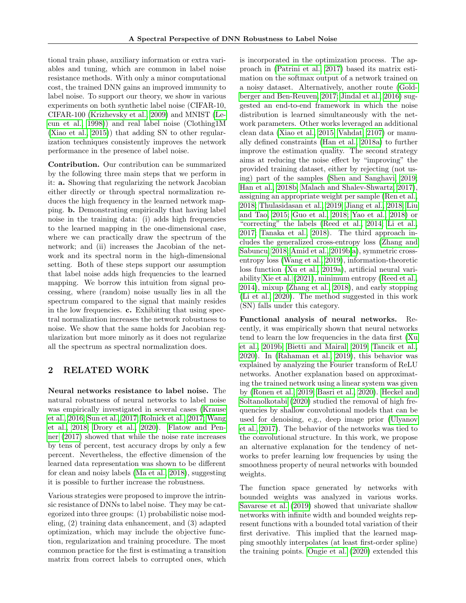tional train phase, auxiliary information or extra variables and tuning, which are common in label noise resistance methods. With only a minor computational cost, the trained DNN gains an improved immunity to label noise. To support our theory, we show in various experiments on both synthetic label noise (CIFAR-10, CIFAR-100 [\(Krizhevsky et al., 2009\)](#page-9-5) and MNIST [\(Le](#page-10-7)[cun et al., 1998\)](#page-10-7)) and real label noise (Clothing1M [\(Xiao et al., 2015\)](#page-11-3)) that adding SN to other regularization techniques consistently improves the network performance in the presence of label noise.

Contribution. Our contribution can be summarized by the following three main steps that we perform in it: a. Showing that regularizing the network Jacobian either directly or through spectral normalization reduces the high frequency in the learned network mapping. b. Demonstrating empirically that having label noise in the training data: (i) adds high frequencies to the learned mapping in the one-dimensional case, where we can practically draw the spectrum of the network; and (ii) increases the Jacobian of the network and its spectral norm in the high-dimensional setting. Both of these steps support our assumption that label noise adds high frequencies to the learned mapping. We borrow this intuition from signal processing, where (random) noise usually lies in all the spectrum compared to the signal that mainly resides in the low frequencies. c. Exhibiting that using spectral normalization increases the network robustness to noise. We show that the same holds for Jacobian regularization but more minorly as it does not regularize all the spectrum as spectral normalization does.

## 2 RELATED WORK

Neural networks resistance to label noise. The natural robustness of neural networks to label noise was empirically investigated in several cases [\(Krause](#page-9-2) [et al., 2016;](#page-9-2) [Sun et al., 2017;](#page-10-2) [Rolnick et al., 2017;](#page-10-3) [Wang](#page-11-0) [et al., 2018;](#page-11-0) [Drory et al., 2020\)](#page-9-3). [Flatow and Pen](#page-9-1)[ner](#page-9-1) [\(2017\)](#page-9-1) showed that while the noise rate increases by tens of percent, test accuracy drops by only a few percent. Nevertheless, the effective dimension of the learned data representation was shown to be different for clean and noisy labels [\(Ma et al., 2018\)](#page-10-8), suggesting it is possible to further increase the robustness.

Various strategies were proposed to improve the intrinsic resistance of DNNs to label noise. They may be categorized into three groups: (1) probabilistic noise modeling, (2) training data enhancement, and (3) adapted optimization, which may include the objective function, regularization and training procedure. The most common practice for the first is estimating a transition matrix from correct labels to corrupted ones, which is incorporated in the optimization process. The approach in [\(Patrini et al., 2017\)](#page-10-9) based its matrix estimation on the softmax output of a network trained on a noisy dataset. Alternatively, another route [\(Gold](#page-9-6)[berger and Ben-Reuven, 2017;](#page-9-6) [Jindal et al., 2016\)](#page-9-7) suggested an end-to-end framework in which the noise distribution is learned simultaneously with the network parameters. Other works leveraged an additional clean data [\(Xiao et al., 2015;](#page-11-3) [Vahdat, 2107\)](#page-11-4) or manually defined constraints [\(Han et al., 2018a\)](#page-9-8) to further improve the estimation quality. The second strategy aims at reducing the noise effect by "improving" the provided training dataset, either by rejecting (not using) part of the samples [\(Shen and Sanghavi, 2019;](#page-10-10) [Han et al., 2018b;](#page-9-9) [Malach and Shalev-Shwartz, 2017\)](#page-10-11), assigning an appropriate weight per sample [\(Ren et al.,](#page-10-12) [2018;](#page-10-12) [Thulasidasan et al., 2019;](#page-10-13) [Jiang et al., 2018;](#page-9-10) [Liu](#page-10-14) [and Tao, 2015;](#page-10-14) [Guo et al., 2018;](#page-9-11) [Yao et al., 2018\)](#page-11-5) or "correcting" the labels [\(Reed et al., 2014;](#page-10-15) [Li et al.,](#page-10-16) [2017;](#page-10-16) [Tanaka et al., 2018\)](#page-10-17). The third approach includes the generalized cross-entropy loss [\(Zhang and](#page-11-6) [Sabuncu, 2018;](#page-11-6) [Amid et al., 2019b,](#page-9-12)[a\)](#page-9-13), symmetric crossentropy loss [\(Wang et al., 2019\)](#page-11-7), information-theoretic loss function [\(Xu et al., 2019a\)](#page-11-8), artificial neural variability [Xie et al.](#page-11-9) [\(2021\)](#page-11-9), minimum entropy [\(Reed et al.,](#page-10-15) [2014\)](#page-10-15), mixup [\(Zhang et al., 2018\)](#page-11-10), and early stopping [\(Li et al., 2020\)](#page-10-18). The method suggested in this work (SN) falls under this category.

Functional analysis of neural networks. Recently, it was empirically shown that neural networks tend to learn the low frequencies in the data first [\(Xu](#page-11-11) [et al., 2019b;](#page-11-11) [Bietti and Mairal, 2019;](#page-9-14) [Tancik et al.,](#page-10-19) [2020\)](#page-10-19). In [\(Rahaman et al., 2019\)](#page-10-20), this behavior was explained by analyzing the Fourier transform of ReLU networks. Another explanation based on approximating the trained network using a linear system was given by [\(Ronen et al., 2019;](#page-10-21) [Basri et al., 2020\)](#page-9-15). [Heckel and](#page-9-16) [Soltanolkotabi](#page-9-16) [\(2020\)](#page-9-16) studied the removal of high frequencies by shallow convolutional models that can be used for denoising, e.g., deep image prior [\(Ulyanov](#page-11-12) [et al., 2017\)](#page-11-12). The behavior of the networks was tied to the convolutional structure. In this work, we propose an alternative explanation for the tendency of networks to prefer learning low frequencies by using the smoothness property of neural networks with bounded weights.

The function space generated by networks with bounded weights was analyzed in various works. [Savarese et al.](#page-10-4) [\(2019\)](#page-10-4) showed that univariate shallow networks with infinite width and bounded weights represent functions with a bounded total variation of their first derivative. This implied that the learned mapping smoothly interpolates (at least first-order spline) the training points. [Ongie et al.](#page-10-5) [\(2020\)](#page-10-5) extended this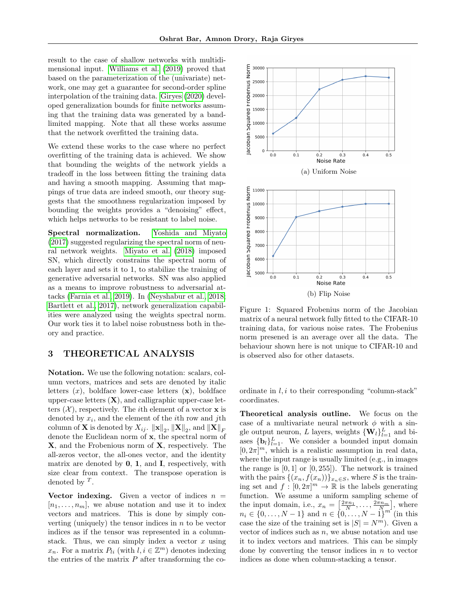result to the case of shallow networks with multidimensional input. [Williams et al.](#page-11-1) [\(2019\)](#page-11-1) proved that based on the parameterization of the (univariate) network, one may get a guarantee for second-order spline interpolation of the training data. [Giryes](#page-9-4) [\(2020\)](#page-9-4) developed generalization bounds for finite networks assuming that the training data was generated by a bandlimited mapping. Note that all these works assume that the network overfitted the training data.

We extend these works to the case where no perfect overfitting of the training data is achieved. We show that bounding the weights of the network yields a tradeoff in the loss between fitting the training data and having a smooth mapping. Assuming that mappings of true data are indeed smooth, our theory suggests that the smoothness regularization imposed by bounding the weights provides a "denoising" effect, which helps networks to be resistant to label noise.

Spectral normalization. [Yoshida and Miyato](#page-11-2) [\(2017\)](#page-11-2) suggested regularizing the spectral norm of neural network weights. [Miyato et al.](#page-10-6) [\(2018\)](#page-10-6) imposed SN, which directly constrains the spectral norm of each layer and sets it to 1, to stabilize the training of generative adversarial networks. SN was also applied as a means to improve robustness to adversarial attacks [\(Farnia et al., 2019\)](#page-9-17). In [\(Neyshabur et al., 2018;](#page-10-22) [Bartlett et al., 2017\)](#page-9-18), network generalization capabilities were analyzed using the weights spectral norm. Our work ties it to label noise robustness both in theory and practice.

## <span id="page-2-1"></span>3 THEORETICAL ANALYSIS

Notation. We use the following notation: scalars, column vectors, matrices and sets are denoted by italic letters  $(x)$ , boldface lower-case letters  $(x)$ , boldface upper-case letters  $(X)$ , and calligraphic upper-case letters  $(X)$ , respectively. The *i*th element of a vector **x** is denoted by  $x_i$ , and the element of the *i*th row and *j*th column of **X** is denoted by  $X_{ij}$ .  $\|\mathbf{x}\|_2$ ,  $\|\mathbf{X}\|_2$ , and  $\|\mathbf{X}\|_F$ denote the Euclidean norm of x, the spectral norm of X, and the Frobenious norm of X, respectively. The all-zeros vector, the all-ones vector, and the identity matrix are denoted by  $0, 1$ , and **I**, respectively, with size clear from context. The transpose operation is denoted by  $^T$ .

Vector indexing. Given a vector of indices  $n =$  $[n_1, \ldots, n_m]$ , we abuse notation and use it to index vectors and matrices. This is done by simply converting (uniquely) the tensor indices in  $n$  to be vector indices as if the tensor was represented in a columnstack. Thus, we can simply index a vector  $x$  using  $x_n$ . For a matrix  $P_{li}$  (with  $l, i \in \mathbb{Z}^m$ ) denotes indexing the entries of the matrix  $P$  after transforming the co-

<span id="page-2-0"></span>

Figure 1: Squared Frobenius norm of the Jacobian matrix of a neural network fully fitted to the CIFAR-10 training data, for various noise rates. The Frobenius norm presened is an average over all the data. The behaviour shown here is not unique to CIFAR-10 and is observed also for other datasets.

ordinate in  $l, i$  to their corresponding "column-stack" coordinates.

Theoretical analysis outline. We focus on the case of a multivariate neural network  $\phi$  with a single output neuron, L layers, weights  $\{W_l\}_{l=1}^L$  and biases  $\{\mathbf{b}_l\}_{l=1}^L$ . We consider a bounded input domain  $[0, 2\pi]^m$ , which is a realistic assumption in real data, where the input range is usually limited (e.g., in images the range is  $[0, 1]$  or  $[0, 255]$ . The network is trained with the pairs  $\{(x_n, f(x_n))\}_{x_n\in S}$ , where S is the training set and  $f: [0, 2\pi]^m \to \mathbb{R}$  is the labels generating function. We assume a uniform sampling scheme of the input domain, i.e.,  $x_n = \left[\frac{2\pi n_1}{N}, \ldots, \frac{2\pi n_m}{N}\right]$ , where  $n_i \in \{0, \ldots, N-1\}$  and  $n \in \{0, \ldots, N-1\}^{m'}$  (in this case the size of the training set is  $|S| = N^m$ ). Given a vector of indices such as  $n$ , we abuse notation and use it to index vectors and matrices. This can be simply done by converting the tensor indices in  $n$  to vector indices as done when column-stacking a tensor.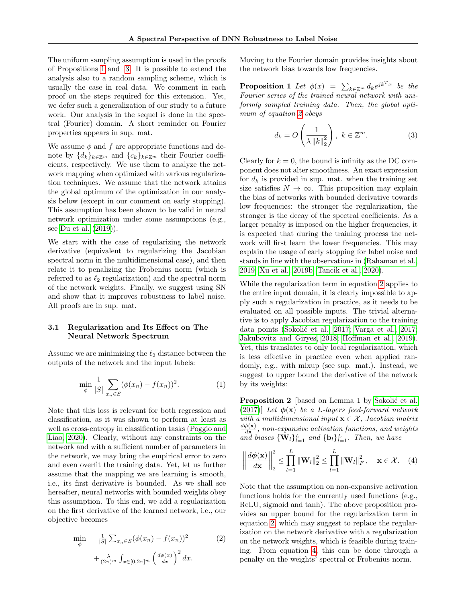The uniform sampling assumption is used in the proofs of Propositions [1](#page-3-0) and [3.](#page-5-0) It is possible to extend the analysis also to a random sampling scheme, which is usually the case in real data. We comment in each proof on the steps required for this extension. Yet, we defer such a generalization of our study to a future work. Our analysis in the sequel is done in the spectral (Fourier) domain. A short reminder on Fourier properties appears in sup. mat.

We assume  $\phi$  and  $f$  are appropriate functions and denote by  $\{d_k\}_{k\in\mathbb{Z}^m}$  and  $\{c_k\}_{k\in\mathbb{Z}^m}$  their Fourier coefficients, respectively. We use them to analyze the network mapping when optimized with various regularization techniques. We assume that the network attains the global optimum of the optimization in our analysis below (except in our comment on early stopping). This assumption has been shown to be valid in neural network optimization under some assumptions (e.g., see [Du et al.](#page-9-19) [\(2019\)](#page-9-19)).

We start with the case of regularizing the network derivative (equivalent to regularizing the Jacobian spectral norm in the multidimensional case), and then relate it to penalizing the Frobenius norm (which is referred to as  $\ell_2$  regularization) and the spectral norm of the network weights. Finally, we suggest using SN and show that it improves robustness to label noise. All proofs are in sup. mat.

### 3.1 Regularization and Its Effect on The Neural Network Spectrum

Assume we are minimizing the  $\ell_2$  distance between the outputs of the network and the input labels:

$$
\min_{\phi} \frac{1}{|S|} \sum_{x_n \in S} (\phi(x_n) - f(x_n))^2.
$$
 (1)

Note that this loss is relevant for both regression and classification, as it was shown to perform at least as well as cross-entropy in classification tasks [\(Poggio and](#page-10-23) [Liao, 2020\)](#page-10-23). Clearly, without any constraints on the network and with a sufficient number of parameters in the network, we may bring the empirical error to zero and even overfit the training data. Yet, let us further assume that the mapping we are learning is smooth, i.e., its first derivative is bounded. As we shall see hereafter, neural networks with bounded weights obey this assumption. To this end, we add a regularization on the first derivative of the learned network, i.e., our objective becomes

<span id="page-3-1"></span>
$$
\min_{\phi} \quad \frac{1}{|S|} \sum_{x_n \in S} (\phi(x_n) - f(x_n))^2 \quad (2)
$$
\n
$$
+ \frac{\lambda}{(2\pi)^m} \int_{x \in [0, 2\pi]^m} \left(\frac{d\phi(x)}{dx}\right)^2 dx.
$$

Moving to the Fourier domain provides insights about the network bias towards low frequencies.

<span id="page-3-0"></span>**Proposition 1** Let  $\phi(x) = \sum_{k \in \mathbb{Z}^m} d_k e^{jk^T x}$  be the Fourier series of the trained neural network with uniformly sampled training data. Then, the global optimum of equation [2](#page-3-1) obeys

$$
d_k = O\left(\frac{1}{\lambda \|k\|_2^2}\right), \ k \in \mathbb{Z}^m. \tag{3}
$$

Clearly for  $k = 0$ , the bound is infinity as the DC component does not alter smoothness. An exact expression for  $d_k$  is provided in sup. mat. when the training set size satisfies  $N \to \infty$ . This proposition may explain the bias of networks with bounded derivative towards low frequencies: the stronger the regularization, the stronger is the decay of the spectral coefficients. As a larger penalty is imposed on the higher frequencies, it is expected that during the training process the network will first learn the lower frequencies. This may explain the usage of early stopping for label noise and stands in line with the observations in [\(Rahaman et al.,](#page-10-20) [2019;](#page-10-20) [Xu et al., 2019b;](#page-11-11) [Tancik et al., 2020\)](#page-10-19).

While the regularization term in equation [2](#page-3-1) applies to the entire input domain, it is clearly impossible to apply such a regularization in practice, as it needs to be evaluated on all possible inputs. The trivial alternative is to apply Jacobian regularization to the training data points (Sokolić et al., 2017; [Varga et al., 2017;](#page-11-13) [Jakubovitz and Giryes, 2018;](#page-9-20) [Hoffman et al., 2019\)](#page-9-21). Yet, this translates to only local regularization, which is less effective in practice even when applied randomly, e.g., with mixup (see sup. mat.). Instead, we suggest to upper bound the derivative of the network by its weights:

<span id="page-3-3"></span>**Proposition 2** [based on Lemma 1 by Sokolić et al. [\(2017\)](#page-10-24)] Let  $\phi(\mathbf{x})$  be a L-layers feed-forward network with a multidimensional input  $\mathbf{x} \in \mathcal{X}$ , Jacobian matrix  $d\boldsymbol{\phi}(\mathbf{x})$  $\frac{\partial P(\mathbf{x})}{\partial \mathbf{x}}$ , non-expansive activation functions, and weights and biases  $\{W_l\}_{l=1}^L$  and  $\{b_l\}_{l=1}^L$ . Then, we have

<span id="page-3-2"></span>
$$
\left\|\frac{d\phi(\mathbf{x})}{d\mathbf{x}}\right\|_2^2 \leq \prod_{l=1}^L \|\mathbf{W}_l\|_2^2 \leq \prod_{l=1}^L \|\mathbf{W}_l\|_F^2, \quad \mathbf{x} \in \mathcal{X}.
$$
 (4)

Note that the assumption on non-expansive activation functions holds for the currently used functions (e.g., ReLU, sigmoid and tanh). The above proposition provides an upper bound for the regularization term in equation [2,](#page-3-1) which may suggest to replace the regularization on the network derivative with a regularization on the network weights, which is feasible during training. From equation [4,](#page-3-2) this can be done through a penalty on the weights' spectral or Frobenius norm.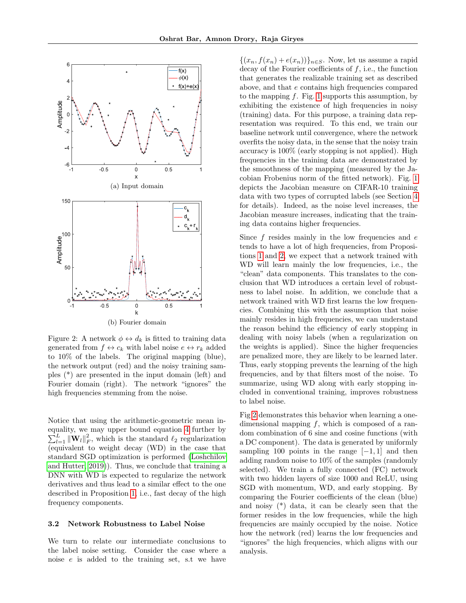<span id="page-4-0"></span>

Figure 2: A network  $\phi \leftrightarrow d_k$  is fitted to training data generated from  $f \leftrightarrow c_k$  with label noise  $e \leftrightarrow r_k$  added to 10% of the labels. The original mapping (blue), the network output (red) and the noisy training samples (\*) are presented in the input domain (left) and Fourier domain (right). The network "ignores" the high frequencies stemming from the noise.

Notice that using the arithmetic-geometric mean inequality, we may upper bound equation [4](#page-3-2) further by  $\sum_{l=1}^{L} \|\mathbf{W}_{l}\|_{F}^{2}$ , which is the standard  $\ell_{2}$  regularization (equivalent to weight decay (WD) in the case that standard SGD optimization is performed [\(Loshchilov](#page-10-25) [and Hutter, 2019\)](#page-10-25)). Thus, we conclude that training a DNN with WD is expected to regularize the network derivatives and thus lead to a similar effect to the one described in Proposition [1,](#page-3-0) i.e., fast decay of the high frequency components.

#### 3.2 Network Robustness to Label Noise

We turn to relate our intermediate conclusions to the label noise setting. Consider the case where a noise e is added to the training set, s.t we have  $\{(x_n, f(x_n) + e(x_n))\}_{n \in S}$ . Now, let us assume a rapid decay of the Fourier coefficients of  $f$ , i.e., the function that generates the realizable training set as described above, and that e contains high frequencies compared to the mapping  $f$ . Fig. [1](#page-2-0) supports this assumption, by exhibiting the existence of high frequencies in noisy (training) data. For this purpose, a training data representation was required. To this end, we train our baseline network until convergence, where the network overfits the noisy data, in the sense that the noisy train accuracy is 100% (early stopping is not applied). High frequencies in the training data are demonstrated by the smoothness of the mapping (measured by the Jacobian Frobenius norm of the fitted network). Fig. [1](#page-2-0) depicts the Jacobian measure on CIFAR-10 training data with two types of corrupted labels (see Section [4](#page-6-0) for details). Indeed, as the noise level increases, the Jacobian measure increases, indicating that the training data contains higher frequencies.

Since  $f$  resides mainly in the low frequencies and  $e$ tends to have a lot of high frequencies, from Propositions [1](#page-3-0) and [2,](#page-3-3) we expect that a network trained with WD will learn mainly the low frequencies, i.e., the "clean" data components. This translates to the conclusion that WD introduces a certain level of robustness to label noise. In addition, we conclude that a network trained with WD first learns the low frequencies. Combining this with the assumption that noise mainly resides in high frequencies, we can understand the reason behind the efficiency of early stopping in dealing with noisy labels (when a regularization on the weights is applied). Since the higher frequencies are penalized more, they are likely to be learned later. Thus, early stopping prevents the learning of the high frequencies, and by that filters most of the noise. To summarize, using WD along with early stopping included in conventional training, improves robustness to label noise.

Fig [2](#page-4-0) demonstrates this behavior when learning a onedimensional mapping  $f$ , which is composed of a random combination of 6 sine and cosine functions (with a DC component). The data is generated by uniformly sampling 100 points in the range  $[-1, 1]$  and then adding random noise to 10% of the samples (randomly selected). We train a fully connected (FC) network with two hidden layers of size 1000 and ReLU, using SGD with momentum, WD, and early stopping. By comparing the Fourier coefficients of the clean (blue) and noisy (\*) data, it can be clearly seen that the former resides in the low frequencies, while the high frequencies are mainly occupied by the noise. Notice how the network (red) learns the low frequencies and "ignores" the high frequencies, which aligns with our analysis.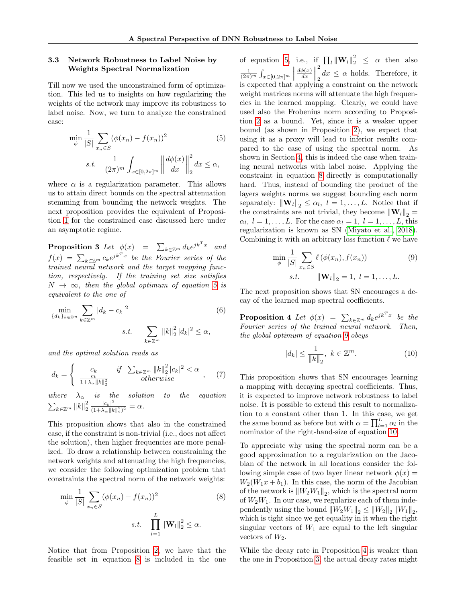### 3.3 Network Robustness to Label Noise by Weights Spectral Normalization

Till now we used the unconstrained form of optimization. This led us to insights on how regularizing the weights of the network may improve its robustness to label noise. Now, we turn to analyze the constrained case:

<span id="page-5-1"></span>
$$
\min_{\phi} \frac{1}{|S|} \sum_{x_n \in S} (\phi(x_n) - f(x_n))^2
$$
\n
$$
s.t. \quad \frac{1}{(2\pi)^m} \int_{x \in [0, 2\pi]^m} \left\| \frac{d\phi(x)}{dx} \right\|_2^2 dx \le \alpha,
$$
\n(5)

where  $\alpha$  is a regularization parameter. This allows us to attain direct bounds on the spectral attenuation stemming from bounding the network weights. The next proposition provides the equivalent of Proposition [1](#page-3-0) for the constrained case discussed here under an asymptotic regime.

<span id="page-5-0"></span>**Proposition 3** Let  $\phi(x) = \sum_{k \in \mathbb{Z}^m} d_k e^{jk^T x}$  and  $f(x) \ = \ \sum_{k \in {\mathbb Z}^m} c_k e^{jk^T x}$  be the Fourier series of the trained neural network and the target mapping function, respectively. If the training set size satisfies  $N \rightarrow \infty$ , then the global optimum of equation [5](#page-5-1) is equivalent to the one of

<span id="page-5-6"></span>
$$
\min_{\{d_k\}_{k \in \mathbb{Z}^m}} \sum_{k \in \mathbb{Z}^m} |d_k - c_k|^2
$$
\ns.t.

\n
$$
\sum_{k \in \mathbb{Z}^m} \|k\|_2^2 |d_k|^2 \leq \alpha,
$$
\n(6)

and the optimal solution reads as

<span id="page-5-7"></span>
$$
d_k = \begin{cases} c_k & \text{if } \sum_{k \in \mathbb{Z}^m} ||k||_2^2 |c_k|^2 < \alpha \\ \frac{c_k}{1 + \lambda_\alpha ||k||_2^2} & \text{otherwise} \end{cases} \tag{7}
$$

where  $\lambda_{\alpha}$  is the solution to the equation  $\sum_{k\in\mathbb{Z}^m} ||k||_2^2 \frac{|c_k|^2}{(1+\lambda_{\alpha}||k)}$  $\frac{|c_k|}{(1+\lambda_\alpha||k||_2^2)^2} = \alpha.$ 

This proposition shows that also in the constrained case, if the constraint is non-trivial (i.e., does not affect the solution), then higher frequencies are more penalized. To draw a relationship between constraining the network weights and attenuating the high frequencies, we consider the following optimization problem that constraints the spectral norm of the network weights:

<span id="page-5-2"></span>
$$
\min_{\phi} \frac{1}{|S|} \sum_{x_n \in S} (\phi(x_n) - f(x_n))^2
$$
\n
$$
s.t. \quad \prod_{l=1}^L \|\mathbf{W}_l\|_2^2 \le \alpha.
$$
\n
$$
(8)
$$

Notice that from Proposition [2,](#page-3-3) we have that the feasible set in equation [8](#page-5-2) is included in the one

of equation [5,](#page-5-1) i.e., if  $\prod_l ||\mathbf{W}_l||_2^2 \leq \alpha$  then also  $\frac{1}{(2\pi)^m} \int_{x \in [0,2\pi]^m} \Big\|$  $d\phi(x)$  $\frac{\phi(x)}{dx}$ 2  $\int_2 dx \leq \alpha$  holds. Therefore, it is expected that applying a constraint on the network weight matrices norms will attenuate the high frequencies in the learned mapping. Clearly, we could have used also the Frobenius norm according to Proposition [2](#page-3-3) as a bound. Yet, since it is a weaker upper bound (as shown in Proposition [2\)](#page-3-3), we expect that using it as a proxy will lead to inferior results compared to the case of using the spectral norm. As shown in Section [4,](#page-6-0) this is indeed the case when training neural networks with label noise. Applying the constraint in equation [8](#page-5-2) directly is computationally hard. Thus, instead of bounding the product of the layers weights norms we suggest bounding each norm separately:  $\|\mathbf{W}_{l}\|_{2} \leq \alpha_{l}, l = 1, \ldots, L$ . Notice that if the constraints are not trivial, they become  $\|\mathbf{W}_{l}\|_{2} =$  $\alpha_l, l = 1, \ldots, L$ . For the case  $\alpha_l = 1, l = 1, \ldots, L$ , this regularization is known as SN [\(Miyato et al., 2018\)](#page-10-6). Combining it with an arbitrary loss function  $\ell$  we have

<span id="page-5-3"></span>
$$
\min_{\phi} \frac{1}{|S|} \sum_{x_n \in S} \ell(\phi(x_n), f(x_n))
$$
\n(9)\n  
\ns.t. 
$$
\|\mathbf{W}_l\|_2 = 1, l = 1, ..., L.
$$

The next proposition shows that SN encourages a decay of the learned map spectral coefficients.

**Proposition 4** Let  $\phi(x) = \sum_{k \in \mathbb{Z}^m} d_k e^{jk^T x}$  be the Fourier series of the trained neural network. Then, the global optimum of equation [9](#page-5-3) obeys

<span id="page-5-5"></span><span id="page-5-4"></span>
$$
|d_k| \le \frac{1}{\|k\|_2}, \ k \in \mathbb{Z}^m. \tag{10}
$$

This proposition shows that SN encourages learning a mapping with decaying spectral coefficients. Thus, it is expected to improve network robustness to label noise. It is possible to extend this result to normalization to a constant other than 1. In this case, we get the same bound as before but with  $\alpha = \prod_{l=1}^{L} \alpha_l$  in the nominator of the right-hand-size of equation [10.](#page-5-4)

To appreciate why using the spectral norm can be a good approximation to a regularization on the Jacobian of the network in all locations consider the following simple case of two layer linear network  $\phi(x) =$  $W_2(W_1x + b_1)$ . In this case, the norm of the Jacobian of the network is  $||W_2W_1||_2$ , which is the spectral norm of  $W_2W_1$ . In our case, we regularize each of them independently using the bound  $||W_2W_1||_2 \le ||W_2||_2 ||W_1||_2$ , which is tight since we get equality in it when the right singular vectors of  $W_1$  are equal to the left singular vectors of  $W_2$ .

While the decay rate in Proposition [4](#page-5-5) is weaker than the one in Proposition [3,](#page-5-0) the actual decay rates might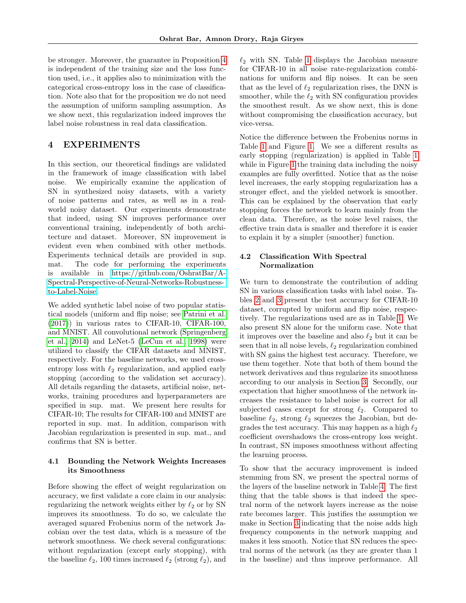be stronger. Moreover, the guarantee in Proposition [4](#page-5-5) is independent of the training size and the loss function used, i.e., it applies also to minimization with the categorical cross-entropy loss in the case of classification. Note also that for the proposition we do not need the assumption of uniform sampling assumption. As we show next, this regularization indeed improves the label noise robustness in real data classification.

## <span id="page-6-0"></span>4 EXPERIMENTS

In this section, our theoretical findings are validated in the framework of image classification with label noise. We empirically examine the application of SN in synthesized noisy datasets, with a variety of noise patterns and rates, as well as in a realworld noisy dataset. Our experiments demonstrate that indeed, using SN improves performance over conventional training, independently of both architecture and dataset. Moreover, SN improvement is evident even when combined with other methods. Experiments technical details are provided in sup. mat. The code for performing the experiments is available in [https://github.com/OshratBar/A-](https://github.com/OshratBar/A-Spectral-Perspective-of-Neural-Networks-Robustness-to-Label-Noise)[Spectral-Perspective-of-Neural-Networks-Robustness](https://github.com/OshratBar/A-Spectral-Perspective-of-Neural-Networks-Robustness-to-Label-Noise)[to-Label-Noise.](https://github.com/OshratBar/A-Spectral-Perspective-of-Neural-Networks-Robustness-to-Label-Noise)

We added synthetic label noise of two popular statistical models (uniform and flip noise; see [Patrini et al.](#page-10-9) [\(2017\)](#page-10-9)) in various rates to CIFAR-10, CIFAR-100, and MNIST. All convolutional network [\(Springenberg](#page-10-26) [et al., 2014\)](#page-10-26) and LeNet-5 [\(LeCun et al., 1998\)](#page-10-27) were utilized to classify the CIFAR datasets and MNIST, respectively. For the baseline networks, we used crossentropy loss with  $\ell_2$  regularization, and applied early stopping (according to the validation set accuracy). All details regarding the datasets, artificial noise, networks, training procedures and hyperparameters are specified in sup. mat. We present here results for CIFAR-10; The results for CIFAR-100 and MNIST are reported in sup. mat. In addition, comparison with Jacobian regularization is presented in sup. mat., and confirms that SN is better.

### 4.1 Bounding the Network Weights Increases its Smoothness

Before showing the effect of weight regularization on accuracy, we first validate a core claim in our analysis: regularizing the network weights either by  $\ell_2$  or by SN improves its smoothness. To do so, we calculate the averaged squared Frobenius norm of the network Jacobian over the test data, which is a measure of the network smoothness. We check several configurations: without regularization (except early stopping), with the baseline  $\ell_2$ , 100 times increased  $\ell_2$  (strong  $\ell_2$ ), and  $\ell_2$  with SN. Table [1](#page-7-0) displays the Jacobian measure for CIFAR-10 in all noise rate-regularization combinations for uniform and flip noises. It can be seen that as the level of  $\ell_2$  regularization rises, the DNN is smoother, while the  $\ell_2$  with SN configuration provides the smoothest result. As we show next, this is done without compromising the classification accuracy, but vice-versa.

Notice the difference between the Frobenius norms in Table [1](#page-7-0) and Figure [1.](#page-2-0) We see a different results as early stopping (regularization) is applied in Table [1](#page-7-0) while in Figure [1](#page-2-0) the training data including the noisy examples are fully overfitted. Notice that as the noise level increases, the early stopping regularization has a stronger effect, and the yielded network is smoother. This can be explained by the observation that early stopping forces the network to learn mainly from the clean data. Therefore, as the noise level raises, the effective train data is smaller and therefore it is easier to explain it by a simpler (smoother) function.

### 4.2 Classification With Spectral Normalization

We turn to demonstrate the contribution of adding SN in various classification tasks with label noise. Tables [2](#page-7-1) and [3](#page-7-2) present the test accuracy for CIFAR-10 dataset, corrupted by uniform and flip noise, respectively. The regularizations used are as in Table [1.](#page-7-0) We also present SN alone for the uniform case. Note that it improves over the baseline and also  $\ell_2$  but it can be seen that in all noise levels,  $\ell_2$  regularization combined with SN gains the highest test accuracy. Therefore, we use them together. Note that both of them bound the network derivatives and thus regularize its smoothness according to our analysis in Section [3.](#page-2-1) Secondly, our expectation that higher smoothness of the network increases the resistance to label noise is correct for all subjected cases except for strong  $\ell_2$ . Compared to baseline  $\ell_2$ , strong  $\ell_2$  squeezes the Jacobian, but degrades the test accuracy. This may happen as a high  $\ell_2$ coefficient overshadows the cross-entropy loss weight. In contrast, SN imposes smoothness without affecting the learning process.

To show that the accuracy improvement is indeed stemming from SN, we present the spectral norms of the layers of the baseline network in Table [4.](#page-7-3) The first thing that the table shows is that indeed the spectral norm of the network layers increase as the noise rate becomes larger. This justifies the assumption we make in Section [3](#page-2-1) indicating that the noise adds high frequency components in the network mapping and makes it less smooth. Notice that SN reduces the spectral norms of the network (as they are greater than 1 in the baseline) and thus improve performance. All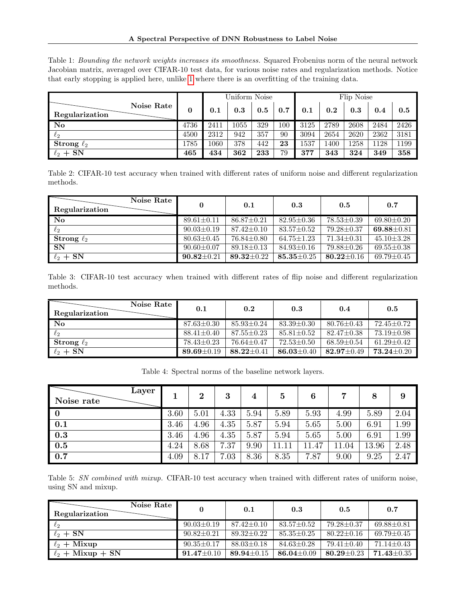<span id="page-7-0"></span>Table 1: Bounding the network weights increases its smoothness. Squared Frobenius norm of the neural network Jacobian matrix, averaged over CIFAR-10 test data, for various noise rates and regularization methods. Notice that early stopping is applied here, unlike [1](#page-2-0) where there is an overfitting of the training data.

|                                          |              | Uniform Noise |          |     |         | Flip Noise |      |      |      |      |
|------------------------------------------|--------------|---------------|----------|-----|---------|------------|------|------|------|------|
| Noise Rate<br>Regularization             | $\mathbf{0}$ | 0.1           | 0.3      | 0.5 | 0.7     | 0.1        | 0.2  | 0.3  | 0.4  | 0.5  |
| $\overline{\text{No}}$                   | 4736         | 2411          | $1055\,$ | 329 | $100\,$ | 3125       | 2789 | 2608 | 2484 | 2426 |
| $\ell_2$                                 | 4500         | 2312          | 942      | 357 | 90      | 3094       | 2654 | 2620 | 2362 | 3181 |
| $\operatorname{\mathbf{Strong}}\,\ell_2$ | 1785         | 1060          | 378      | 442 | 23      | 1537       | 1400 | 1258 | 1128 | 1199 |
| $\ell_2 + SN$                            | 465          | 434           | 362      | 233 | 79      | 377        | 343  | 324  | 349  | 358  |

<span id="page-7-1"></span>Table 2: CIFAR-10 test accuracy when trained with different rates of uniform noise and different regularization methods.

| Noise Rate<br>Regularization |                  | 0.1              | 0.3              | 0.5              | 0.7              |
|------------------------------|------------------|------------------|------------------|------------------|------------------|
| <b>No</b>                    | $89.61 \pm 0.11$ | $86.87 \pm 0.21$ | $82.95 \pm 0.36$ | $78.53 \pm 0.39$ | $69.80 \pm 0.20$ |
| $\ell_2$                     | $90.03 \pm 0.19$ | $87.42 \pm 0.10$ | $83.57 \pm 0.52$ | $79.28 \pm 0.37$ | $69.88 \pm 0.81$ |
| Strong $\ell_2$              | $80.63 \pm 0.45$ | $76.84 \pm 0.80$ | $64.75 \pm 1.23$ | $71.34 \pm 0.31$ | $45.10 \pm 3.28$ |
| SN                           | $90.60 \pm 0.07$ | $89.18 \pm 0.13$ | $84.93 \pm 0.16$ | $79.88 \pm 0.26$ | $69.55 \pm 0.38$ |
| $\ell_2 + SN$                | $90.82 \pm 0.21$ | 89.32 $\pm$ 0.22 | $85.35 \pm 0.25$ | $80.22 \pm 0.16$ | $69.79 \pm 0.45$ |

<span id="page-7-2"></span>Table 3: CIFAR-10 test accuracy when trained with different rates of flip noise and different regularization methods.

| Noise Rate<br>Regularization | 0.1              | 0.2              | 0.3              | 0.4              | 0.5              |
|------------------------------|------------------|------------------|------------------|------------------|------------------|
| $\bf No$                     | $87.63 \pm 0.30$ | $85.93 \pm 0.24$ | $83.39 \pm 0.30$ | $80.76 \pm 0.43$ | $72.45 + 0.72$   |
| $\ell_2$                     | $88.41 \pm 0.40$ | $87.55 \pm 0.23$ | $85.81 \pm 0.52$ | $82.47 + 0.38$   | $73.19 + 0.98$   |
| Strong $\ell_2$              | $78.43 \pm 0.23$ | $76.64 \pm 0.47$ | $72.53 \pm 0.50$ | $68.59 + 0.54$   | $61.29 + 0.42$   |
| $\ell_2 + SN$                | 89.69 $\pm$ 0.19 | $88.22 \pm 0.41$ | 86.03 $\pm$ 0.40 | $82.97 \pm 0.49$ | $73.24 \pm 0.20$ |

Table 4: Spectral norms of the baseline network layers.

<span id="page-7-3"></span>

| Layer<br>Noise rate      |      | $\bf{2}$ | 3    | 4    | $\bf{5}$ | 6                     | 7     | 8     | 9    |
|--------------------------|------|----------|------|------|----------|-----------------------|-------|-------|------|
| $\overline{\phantom{0}}$ | 3.60 | 5.01     | 4.33 | 5.94 | 5.89     | 5.93                  | 4.99  | 5.89  | 2.04 |
| $\bf 0.1$                | 3.46 | 4.96     | 4.35 | 5.87 | 5.94     | 5.65                  | 5.00  | 6.91  | 1.99 |
| $\bf 0.3$                | 3.46 | 4.96     | 4.35 | 5.87 | 5.94     | 5.65                  | 5.00  | 6.91  | 1.99 |
| $\bf 0.5$                | 4.24 | 8.68     | 7.37 | 9.90 | 11.11    | 11.47                 | 11.04 | 13.96 | 2.48 |
| 0.7                      | 4.09 | 8.17     | 7.03 | 8.36 | 8.35     | .87<br>$\overline{ }$ | 9.00  | 9.25  | 2.47 |

<span id="page-7-4"></span>Table 5: SN combined with mixup. CIFAR-10 test accuracy when trained with different rates of uniform noise, using SN and mixup.

| Noise Rate<br>Regularization |                  | 0.1              | 0.3              | 0.5              | 0.7              |
|------------------------------|------------------|------------------|------------------|------------------|------------------|
| $\ell_2$                     | $90.03 \pm 0.19$ | $87.42 \pm 0.10$ | $83.57 + 0.52$   | $79.28 + 0.37$   | $69.88 \pm 0.81$ |
| $\ell_2 + SN$                | $90.82 \pm 0.21$ | $89.32 \pm 0.22$ | $85.35 \pm 0.25$ | $80.22 \pm 0.16$ | $69.79 \pm 0.45$ |
| $\ell_2 +$ Mixup             | $90.35 \pm 0.17$ | $88.03 \pm 0.18$ | $84.63 + 0.28$   | $79.41 \pm 0.40$ | $71.14 \pm 0.43$ |
| $\ell_2 +$ Mixup + SN        | $91.47 \pm 0.10$ | 89.94 $\pm$ 0.15 | $86.04 \pm 0.09$ | 80.29 $\pm$ 0.23 | $71.43 \pm 0.35$ |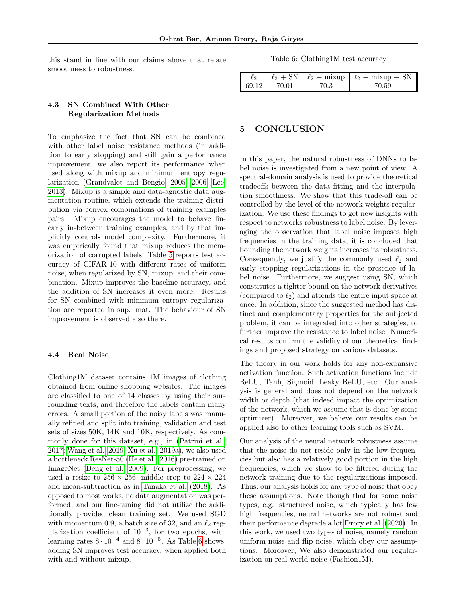this stand in line with our claims above that relate smoothness to robustness.

## 4.3 SN Combined With Other Regularization Methods

To emphasize the fact that SN can be combined with other label noise resistance methods (in addition to early stopping) and still gain a performance improvement, we also report its performance when used along with mixup and minimum entropy regularization [\(Grandvalet and Bengio, 2005,](#page-9-22) [2006;](#page-9-23) [Lee,](#page-10-28) [2013\)](#page-10-28). Mixup is a simple and data-agnostic data augmentation routine, which extends the training distribution via convex combinations of training examples pairs. Mixup encourages the model to behave linearly in-between training examples, and by that implicitly controls model complexity. Furthermore, it was empirically found that mixup reduces the memorization of corrupted labels. Table [5](#page-7-4) reports test accuracy of CIFAR-10 with different rates of uniform noise, when regularized by SN, mixup, and their combination. Mixup improves the baseline accuracy, and the addition of SN increases it even more. Results for SN combined with minimum entropy regularization are reported in sup. mat. The behaviour of SN improvement is observed also there.

### 4.4 Real Noise

Clothing1M dataset contains 1M images of clothing obtained from online shopping websites. The images are classified to one of 14 classes by using their surrounding texts, and therefore the labels contain many errors. A small portion of the noisy labels was manually refined and split into training, validation and test sets of sizes 50K, 14K and 10K, respectively. As commonly done for this dataset, e.g., in [\(Patrini et al.,](#page-10-9) [2017;](#page-10-9) [Wang et al., 2019;](#page-11-7) [Xu et al., 2019a\)](#page-11-8), we also used a bottleneck ResNet-50 [\(He et al., 2016\)](#page-9-24) pre-trained on ImageNet [\(Deng et al., 2009\)](#page-9-25). For preprocessing, we used a resize to  $256 \times 256$ , middle crop to  $224 \times 224$ and mean-subtraction as in [Tanaka et al.](#page-10-17) [\(2018\)](#page-10-17). As opposed to most works, no data augmentation was performed, and our fine-tuning did not utilize the additionally provided clean training set. We used SGD with momentum 0.9, a batch size of 32, and an  $\ell_2$  regularization coefficient of 10<sup>−</sup><sup>3</sup> , for two epochs, with learning rates  $8 \cdot 10^{-4}$  and  $8 \cdot 10^{-5}$ . As Table [6](#page-8-0) shows, adding SN improves test accuracy, when applied both with and without mixup.

Table 6: Clothing1M test accuracy

<span id="page-8-0"></span>

| じつ    | -SN<br>$\mathcal{L}_{2}$ | $\ell_2 + \text{mixup}$ $\ell_2 + \text{mixup} + \text{SN}$ |
|-------|--------------------------|-------------------------------------------------------------|
| 69.12 |                          |                                                             |

### 5 CONCLUSION

In this paper, the natural robustness of DNNs to label noise is investigated from a new point of view. A spectral-domain analysis is used to provide theoretical tradeoffs between the data fitting and the interpolation smoothness. We show that this trade-off can be controlled by the level of the network weights regularization. We use these findings to get new insights with respect to networks robustness to label noise. By leveraging the observation that label noise imposes high frequencies in the training data, it is concluded that bounding the network weights increases its robustness. Consequently, we justify the commonly used  $\ell_2$  and early stopping regularizations in the presence of label noise. Furthermore, we suggest using SN, which constitutes a tighter bound on the network derivatives (compared to  $\ell_2$ ) and attends the entire input space at once. In addition, since the suggested method has distinct and complementary properties for the subjected problem, it can be integrated into other strategies, to further improve the resistance to label noise. Numerical results confirm the validity of our theoretical findings and proposed strategy on various datasets.

The theory in our work holds for any non-expansive activation function. Such activation functions include ReLU, Tanh, Sigmoid, Leaky ReLU, etc. Our analysis is general and does not depend on the network width or depth (that indeed impact the optimization of the network, which we assume that is done by some optimizer). Moreover, we believe our results can be applied also to other learning tools such as SVM.

Our analysis of the neural network robustness assume that the noise do not reside only in the low frequencies but also has a relatively good portion in the high frequencies, which we show to be filtered during the network training due to the regularizations imposed. Thus, our analysis holds for any type of noise that obey these assumptions. Note though that for some noise types, e.g. structured noise, which typically has few high frequencies, neural networks are not robust and their performance degrade a lot [Drory et al.](#page-9-3) [\(2020\)](#page-9-3). In this work, we used two types of noise, namely random uniform noise and flip noise, which obey our assumptions. Moreover, We also demonstrated our regularization on real world noise (Fashion1M).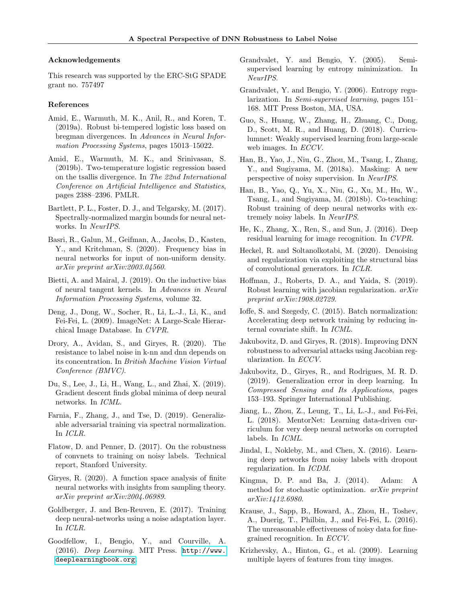#### Acknowledgements

This research was supported by the ERC-StG SPADE grant no. 757497

#### References

- <span id="page-9-13"></span>Amid, E., Warmuth, M. K., Anil, R., and Koren, T. (2019a). Robust bi-tempered logistic loss based on bregman divergences. In Advances in Neural Information Processing Systems, pages 15013–15022.
- <span id="page-9-12"></span>Amid, E., Warmuth, M. K., and Srinivasan, S. (2019b). Two-temperature logistic regression based on the tsallis divergence. In The 22nd International Conference on Artificial Intelligence and Statistics, pages 2388–2396. PMLR.
- <span id="page-9-18"></span>Bartlett, P. L., Foster, D. J., and Telgarsky, M. (2017). Spectrally-normalized margin bounds for neural networks. In NeurIPS.
- <span id="page-9-15"></span>Basri, R., Galun, M., Geifman, A., Jacobs, D., Kasten, Y., and Kritchman, S. (2020). Frequency bias in neural networks for input of non-uniform density. arXiv preprint arXiv:2003.04560.
- <span id="page-9-14"></span>Bietti, A. and Mairal, J. (2019). On the inductive bias of neural tangent kernels. In Advances in Neural Information Processing Systems, volume 32.
- <span id="page-9-25"></span>Deng, J., Dong, W., Socher, R., Li, L.-J., Li, K., and Fei-Fei, L. (2009). ImageNet: A Large-Scale Hierarchical Image Database. In CVPR.
- <span id="page-9-3"></span>Drory, A., Avidan, S., and Giryes, R. (2020). The resistance to label noise in k-nn and dnn depends on its concentration. In British Machine Vision Virtual Conference (BMVC).
- <span id="page-9-19"></span>Du, S., Lee, J., Li, H., Wang, L., and Zhai, X. (2019). Gradient descent finds global minima of deep neural networks. In ICML.
- <span id="page-9-17"></span>Farnia, F., Zhang, J., and Tse, D. (2019). Generalizable adversarial training via spectral normalization. In ICLR.
- <span id="page-9-1"></span>Flatow, D. and Penner, D. (2017). On the robustness of convnets to training on noisy labels. Technical report, Stanford University.
- <span id="page-9-4"></span>Giryes, R. (2020). A function space analysis of finite neural networks with insights from sampling theory. arXiv preprint arXiv:2004.06989.
- <span id="page-9-6"></span>Goldberger, J. and Ben-Reuven, E. (2017). Training deep neural-networks using a noise adaptation layer. In ICLR.
- <span id="page-9-0"></span>Goodfellow, I., Bengio, Y., and Courville, A. (2016). Deep Learning. MIT Press. [http://www.](http://www.deeplearningbook.org) [deeplearningbook.org](http://www.deeplearningbook.org).
- <span id="page-9-22"></span>Grandvalet, Y. and Bengio, Y. (2005). Semisupervised learning by entropy minimization. In NeurIPS.
- <span id="page-9-23"></span>Grandvalet, Y. and Bengio, Y. (2006). Entropy regularization. In Semi-supervised learning, pages 151– 168. MIT Press Boston, MA, USA.
- <span id="page-9-11"></span>Guo, S., Huang, W., Zhang, H., Zhuang, C., Dong, D., Scott, M. R., and Huang, D. (2018). Curriculumnet: Weakly supervised learning from large-scale web images. In *ECCV*.
- <span id="page-9-8"></span>Han, B., Yao, J., Niu, G., Zhou, M., Tsang, I., Zhang, Y., and Sugiyama, M. (2018a). Masking: A new perspective of noisy supervision. In NeurIPS.
- <span id="page-9-9"></span>Han, B., Yao, Q., Yu, X., Niu, G., Xu, M., Hu, W., Tsang, I., and Sugiyama, M. (2018b). Co-teaching: Robust training of deep neural networks with extremely noisy labels. In NeurIPS.
- <span id="page-9-24"></span>He, K., Zhang, X., Ren, S., and Sun, J. (2016). Deep residual learning for image recognition. In CVPR.
- <span id="page-9-16"></span>Heckel, R. and Soltanolkotabi, M. (2020). Denoising and regularization via exploiting the structural bias of convolutional generators. In ICLR.
- <span id="page-9-21"></span>Hoffman, J., Roberts, D. A., and Yaida, S. (2019). Robust learning with jacobian regularization. arXiv preprint arXiv:1908.02729.
- <span id="page-9-26"></span>Ioffe, S. and Szegedy, C. (2015). Batch normalization: Accelerating deep network training by reducing internal covariate shift. In ICML.
- <span id="page-9-20"></span>Jakubovitz, D. and Giryes, R. (2018). Improving DNN robustness to adversarial attacks using Jacobian regularization. In ECCV.
- <span id="page-9-28"></span>Jakubovitz, D., Giryes, R., and Rodrigues, M. R. D. (2019). Generalization error in deep learning. In Compressed Sensing and Its Applications, pages 153–193. Springer International Publishing.
- <span id="page-9-10"></span>Jiang, L., Zhou, Z., Leung, T., Li, L.-J., and Fei-Fei, L. (2018). MentorNet: Learning data-driven curriculum for very deep neural networks on corrupted labels. In ICML.
- <span id="page-9-7"></span>Jindal, I., Nokleby, M., and Chen, X. (2016). Learning deep networks from noisy labels with dropout regularization. In ICDM.
- <span id="page-9-27"></span>Kingma, D. P. and Ba, J. (2014). Adam: A method for stochastic optimization. arXiv preprint arXiv:1412.6980.
- <span id="page-9-2"></span>Krause, J., Sapp, B., Howard, A., Zhou, H., Toshev, A., Duerig, T., Philbin, J., and Fei-Fei, L. (2016). The unreasonable effectiveness of noisy data for finegrained recognition. In ECCV.
- <span id="page-9-5"></span>Krizhevsky, A., Hinton, G., et al. (2009). Learning multiple layers of features from tiny images.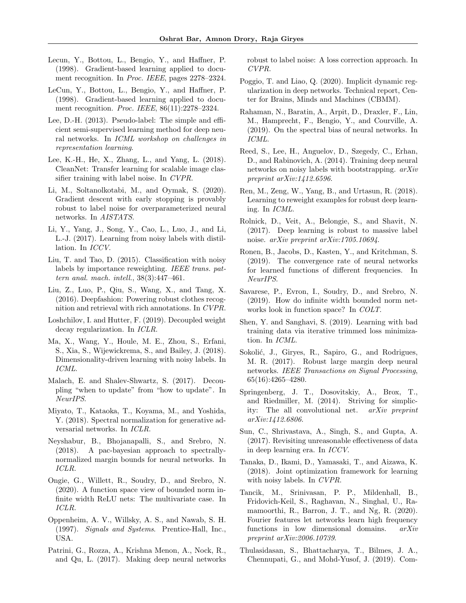- <span id="page-10-7"></span>Lecun, Y., Bottou, L., Bengio, Y., and Haffner, P. (1998). Gradient-based learning applied to document recognition. In Proc. IEEE, pages 2278–2324.
- <span id="page-10-27"></span>LeCun, Y., Bottou, L., Bengio, Y., and Haffner, P. (1998). Gradient-based learning applied to document recognition. Proc. IEEE, 86(11):2278–2324.
- <span id="page-10-28"></span>Lee, D.-H. (2013). Pseudo-label: The simple and efficient semi-supervised learning method for deep neural networks. In ICML workshop on challenges in representation learning.
- <span id="page-10-1"></span>Lee, K.-H., He, X., Zhang, L., and Yang, L. (2018). CleanNet: Transfer learning for scalable image classifier training with label noise. In CVPR.
- <span id="page-10-18"></span>Li, M., Soltanolkotabi, M., and Oymak, S. (2020). Gradient descent with early stopping is provably robust to label noise for overparameterized neural networks. In AISTATS.
- <span id="page-10-16"></span>Li, Y., Yang, J., Song, Y., Cao, L., Luo, J., and Li, L.-J. (2017). Learning from noisy labels with distillation. In ICCV.
- <span id="page-10-14"></span>Liu, T. and Tao, D. (2015). Classification with noisy labels by importance reweighting. IEEE trans. pattern anal. mach. intell., 38(3):447–461.
- <span id="page-10-0"></span>Liu, Z., Luo, P., Qiu, S., Wang, X., and Tang, X. (2016). Deepfashion: Powering robust clothes recognition and retrieval with rich annotations. In CVPR.
- <span id="page-10-25"></span>Loshchilov, I. and Hutter, F. (2019). Decoupled weight decay regularization. In ICLR.
- <span id="page-10-8"></span>Ma, X., Wang, Y., Houle, M. E., Zhou, S., Erfani, S., Xia, S., Wijewickrema, S., and Bailey, J. (2018). Dimensionality-driven learning with noisy labels. In ICML.
- <span id="page-10-11"></span>Malach, E. and Shalev-Shwartz, S. (2017). Decoupling "when to update" from "how to update". In NeurIPS.
- <span id="page-10-6"></span>Miyato, T., Kataoka, T., Koyama, M., and Yoshida, Y. (2018). Spectral normalization for generative adversarial networks. In ICLR.
- <span id="page-10-22"></span>Neyshabur, B., Bhojanapalli, S., and Srebro, N. (2018). A pac-bayesian approach to spectrallynormalized margin bounds for neural networks. In ICLR.
- <span id="page-10-5"></span>Ongie, G., Willett, R., Soudry, D., and Srebro, N. (2020). A function space view of bounded norm infinite width ReLU nets: The multivariate case. In ICLR.
- <span id="page-10-29"></span>Oppenheim, A. V., Willsky, A. S., and Nawab, S. H. (1997). Signals and Systems. Prentice-Hall, Inc., USA.
- <span id="page-10-9"></span>Patrini, G., Rozza, A., Krishna Menon, A., Nock, R., and Qu, L. (2017). Making deep neural networks

robust to label noise: A loss correction approach. In CVPR.

- <span id="page-10-23"></span>Poggio, T. and Liao, Q. (2020). Implicit dynamic regularization in deep networks. Technical report, Center for Brains, Minds and Machines (CBMM).
- <span id="page-10-20"></span>Rahaman, N., Baratin, A., Arpit, D., Draxler, F., Lin, M., Hamprecht, F., Bengio, Y., and Courville, A. (2019). On the spectral bias of neural networks. In ICML.
- <span id="page-10-15"></span>Reed, S., Lee, H., Anguelov, D., Szegedy, C., Erhan, D., and Rabinovich, A. (2014). Training deep neural networks on noisy labels with bootstrapping. arXiv preprint arXiv:1412.6596.
- <span id="page-10-12"></span>Ren, M., Zeng, W., Yang, B., and Urtasun, R. (2018). Learning to reweight examples for robust deep learning. In ICML.
- <span id="page-10-3"></span>Rolnick, D., Veit, A., Belongie, S., and Shavit, N. (2017). Deep learning is robust to massive label noise. arXiv preprint arXiv:1705.10694.
- <span id="page-10-21"></span>Ronen, B., Jacobs, D., Kasten, Y., and Kritchman, S. (2019). The convergence rate of neural networks for learned functions of different frequencies. In NeurIPS.
- <span id="page-10-4"></span>Savarese, P., Evron, I., Soudry, D., and Srebro, N. (2019). How do infinite width bounded norm networks look in function space? In COLT.
- <span id="page-10-10"></span>Shen, Y. and Sanghavi, S. (2019). Learning with bad training data via iterative trimmed loss minimization. In ICML.
- <span id="page-10-24"></span>Sokolić, J., Giryes, R., Sapiro, G., and Rodrigues, M. R. (2017). Robust large margin deep neural networks. IEEE Transactions on Signal Processing, 65(16):4265–4280.
- <span id="page-10-26"></span>Springenberg, J. T., Dosovitskiy, A., Brox, T., and Riedmiller, M. (2014). Striving for simplicity: The all convolutional net. arXiv preprint arXiv:1412.6806.
- <span id="page-10-2"></span>Sun, C., Shrivastava, A., Singh, S., and Gupta, A. (2017). Revisiting unreasonable effectiveness of data in deep learning era. In ICCV.
- <span id="page-10-17"></span>Tanaka, D., Ikami, D., Yamasaki, T., and Aizawa, K. (2018). Joint optimization framework for learning with noisy labels. In CVPR.
- <span id="page-10-19"></span>Tancik, M., Srinivasan, P. P., Mildenhall, B., Fridovich-Keil, S., Raghavan, N., Singhal, U., Ramamoorthi, R., Barron, J. T., and Ng, R. (2020). Fourier features let networks learn high frequency functions in low dimensional domains. arXiv preprint arXiv:2006.10739.
- <span id="page-10-13"></span>Thulasidasan, S., Bhattacharya, T., Bilmes, J. A., Chennupati, G., and Mohd-Yusof, J. (2019). Com-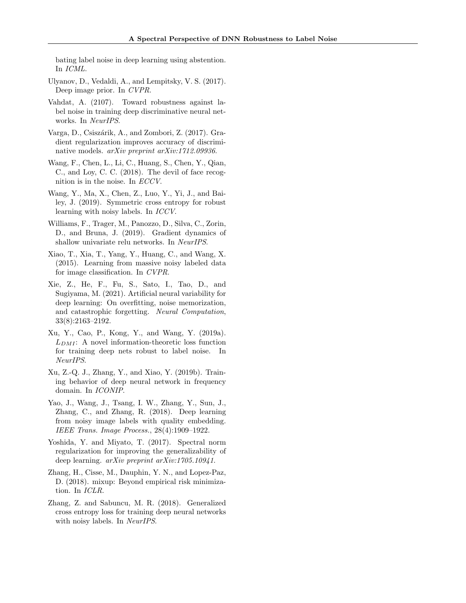bating label noise in deep learning using abstention. In ICML.

- <span id="page-11-12"></span>Ulyanov, D., Vedaldi, A., and Lempitsky, V. S. (2017). Deep image prior. In CVPR.
- <span id="page-11-4"></span>Vahdat, A. (2107). Toward robustness against label noise in training deep discriminative neural networks. In NeurIPS.
- <span id="page-11-13"></span>Varga, D., Csiszárik, A., and Zombori, Z. (2017). Gradient regularization improves accuracy of discriminative models. arXiv preprint arXiv:1712.09936.
- <span id="page-11-0"></span>Wang, F., Chen, L., Li, C., Huang, S., Chen, Y., Qian, C., and Loy, C. C. (2018). The devil of face recognition is in the noise. In ECCV.
- <span id="page-11-7"></span>Wang, Y., Ma, X., Chen, Z., Luo, Y., Yi, J., and Bailey, J. (2019). Symmetric cross entropy for robust learning with noisy labels. In ICCV.
- <span id="page-11-1"></span>Williams, F., Trager, M., Panozzo, D., Silva, C., Zorin, D., and Bruna, J. (2019). Gradient dynamics of shallow univariate relu networks. In NeurIPS.
- <span id="page-11-3"></span>Xiao, T., Xia, T., Yang, Y., Huang, C., and Wang, X. (2015). Learning from massive noisy labeled data for image classification. In CVPR.
- <span id="page-11-9"></span>Xie, Z., He, F., Fu, S., Sato, I., Tao, D., and Sugiyama, M. (2021). Artificial neural variability for deep learning: On overfitting, noise memorization, and catastrophic forgetting. Neural Computation, 33(8):2163–2192.
- <span id="page-11-8"></span>Xu, Y., Cao, P., Kong, Y., and Wang, Y. (2019a).  $L_{DMI}$ : A novel information-theoretic loss function for training deep nets robust to label noise. In NeurIPS.
- <span id="page-11-11"></span>Xu, Z.-Q. J., Zhang, Y., and Xiao, Y. (2019b). Training behavior of deep neural network in frequency domain. In ICONIP.
- <span id="page-11-5"></span>Yao, J., Wang, J., Tsang, I. W., Zhang, Y., Sun, J., Zhang, C., and Zhang, R. (2018). Deep learning from noisy image labels with quality embedding. IEEE Trans. Image Process., 28(4):1909–1922.
- <span id="page-11-2"></span>Yoshida, Y. and Miyato, T. (2017). Spectral norm regularization for improving the generalizability of deep learning. arXiv preprint arXiv:1705.10941.
- <span id="page-11-10"></span>Zhang, H., Cisse, M., Dauphin, Y. N., and Lopez-Paz, D. (2018). mixup: Beyond empirical risk minimization. In ICLR.
- <span id="page-11-6"></span>Zhang, Z. and Sabuncu, M. R. (2018). Generalized cross entropy loss for training deep neural networks with noisy labels. In NeurIPS.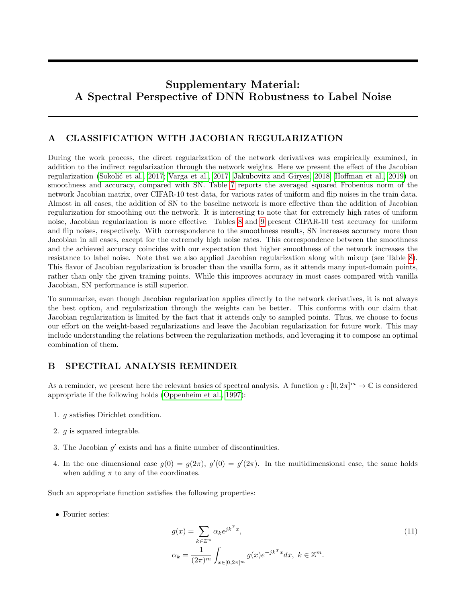# Supplementary Material: A Spectral Perspective of DNN Robustness to Label Noise

## A CLASSIFICATION WITH JACOBIAN REGULARIZATION

During the work process, the direct regularization of the network derivatives was empirically examined, in addition to the indirect regularization through the network weights. Here we present the effect of the Jacobian regularization (Sokolić et al., 2017; [Varga et al., 2017;](#page-11-13) [Jakubovitz and Giryes, 2018;](#page-9-20) [Hoffman et al., 2019\)](#page-9-21) on smoothness and accuracy, compared with SN. Table [7](#page-13-0) reports the averaged squared Frobenius norm of the network Jacobian matrix, over CIFAR-10 test data, for various rates of uniform and flip noises in the train data. Almost in all cases, the addition of SN to the baseline network is more effective than the addition of Jacobian regularization for smoothing out the network. It is interesting to note that for extremely high rates of uniform noise, Jacobian regularization is more effective. Tables [8](#page-13-1) and [9](#page-14-0) present CIFAR-10 test accuracy for uniform and flip noises, respectively. With correspondence to the smoothness results, SN increases accuracy more than Jacobian in all cases, except for the extremely high noise rates. This correspondence between the smoothness and the achieved accuracy coincides with our expectation that higher smoothness of the network increases the resistance to label noise. Note that we also applied Jacobian regularization along with mixup (see Table [8\)](#page-13-1). This flavor of Jacobian regularization is broader than the vanilla form, as it attends many input-domain points, rather than only the given training points. While this improves accuracy in most cases compared with vanilla Jacobian, SN performance is still superior.

To summarize, even though Jacobian regularization applies directly to the network derivatives, it is not always the best option, and regularization through the weights can be better. This conforms with our claim that Jacobian regularization is limited by the fact that it attends only to sampled points. Thus, we choose to focus our effort on the weight-based regularizations and leave the Jacobian regularization for future work. This may include understanding the relations between the regularization methods, and leveraging it to compose an optimal combination of them.

## B SPECTRAL ANALYSIS REMINDER

As a reminder, we present here the relevant basics of spectral analysis. A function  $g:[0,2\pi]^m\to\mathbb{C}$  is considered appropriate if the following holds [\(Oppenheim et al., 1997\)](#page-10-29):

- 1. g satisfies Dirichlet condition.
- 2. g is squared integrable.
- 3. The Jacobian  $g'$  exists and has a finite number of discontinuities.
- 4. In the one dimensional case  $g(0) = g(2\pi)$ ,  $g'(0) = g'(2\pi)$ . In the multidimensional case, the same holds when adding  $\pi$  to any of the coordinates.

Such an appropriate function satisfies the following properties:

• Fourier series:

$$
g(x) = \sum_{k \in \mathbb{Z}^m} \alpha_k e^{jk^T x},
$$
  
\n
$$
\alpha_k = \frac{1}{(2\pi)^m} \int_{x \in [0, 2\pi]^m} g(x) e^{-jk^T x} dx, \ k \in \mathbb{Z}^m.
$$
\n
$$
(11)
$$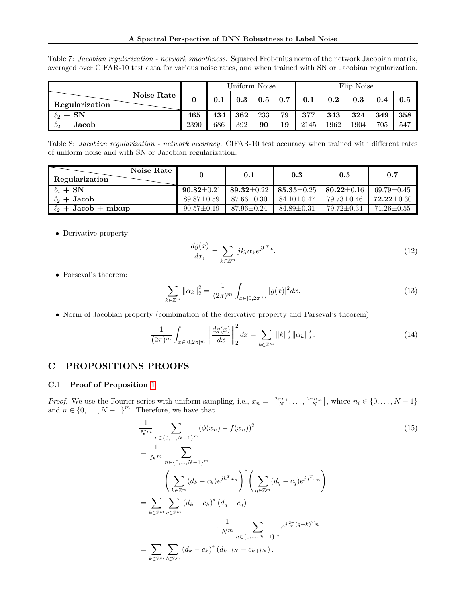|                              |      | Uniform Noise |     |     | Flip Noise |      |      |      |     |     |
|------------------------------|------|---------------|-----|-----|------------|------|------|------|-----|-----|
| Noise Rate<br>Regularization |      | $0.1\,$       | 0.3 | 0.5 | 0.7        | 0.1  | 0.2  | 0.3  | 0.4 | 0.5 |
| $\ell_2 + SN$                | 465  | 434           | 362 | 233 | 79         | 377  | 343  | 324  | 349 | 358 |
| $\ell_2 +$ Jacob             | 2390 | 686           | 392 | 90  | 19         | 2145 | 1962 | 1904 | 705 | 547 |

<span id="page-13-0"></span>Table 7: Jacobian regularization - network smoothness. Squared Frobenius norm of the network Jacobian matrix, averaged over CIFAR-10 test data for various noise rates, and when trained with SN or Jacobian regularization.

<span id="page-13-1"></span>Table 8: Jacobian regularization - network accuracy. CIFAR-10 test accuracy when trained with different rates of uniform noise and with SN or Jacobian regularization.

| Noise Rate<br>Regularization |                  | 0.1              | 0.3              | 0.5              | 0.7              |
|------------------------------|------------------|------------------|------------------|------------------|------------------|
| $\ell_2 + SN$                | $90.82 \pm 0.21$ | $89.32 \pm 0.22$ | $85.35 \pm 0.25$ | $80.22 \pm 0.16$ | $69.79 \pm 0.45$ |
| $\ell_2 +$ Jacob             | $89.87 \pm 0.59$ | $87.66 \pm 0.30$ | $84.10 \pm 0.47$ | 79.73±0.46       | $72.22 + 0.30$   |
| $\ell_2$ + Jacob + mixup     | $90.57 \pm 0.19$ | $87.96 \pm 0.24$ | $84.89 \pm 0.31$ | 79.72 + 0.34     | $71.26 \pm 0.55$ |

 $\bullet\,$  Derivative property:

$$
\frac{dg(x)}{dx_i} = \sum_{k \in \mathbb{Z}^m} j k_i \alpha_k e^{jk^T x}.
$$
\n(12)

• Parseval's theorem:

$$
\sum_{k \in \mathbb{Z}^m} \|\alpha_k\|_2^2 = \frac{1}{(2\pi)^m} \int_{x \in [0, 2\pi]^m} |g(x)|^2 dx.
$$
 (13)

• Norm of Jacobian property (combination of the derivative property and Parseval's theorem)

$$
\frac{1}{(2\pi)^m} \int_{x \in [0, 2\pi]^m} \left\| \frac{dg(x)}{dx} \right\|_2^2 dx = \sum_{k \in \mathbb{Z}^m} \|k\|_2^2 \left\| \alpha_k \right\|_2^2.
$$
 (14)

## C PROPOSITIONS PROOFS

## C.1 Proof of Proposition [1](#page-3-0)

*Proof.* We use the Fourier series with uniform sampling, i.e.,  $x_n = \left[\frac{2\pi n_1}{N}, \ldots, \frac{2\pi n_m}{N}\right]$ , where  $n_i \in \{0, \ldots, N-1\}$ and  $n \in \{0, \ldots, N-1\}^m$ . Therefore, we have that

$$
\frac{1}{N^{m}} \sum_{n \in \{0, \ldots, N-1\}^{m}} (\phi(x_{n}) - f(x_{n}))^{2}
$$
\n
$$
= \frac{1}{N^{m}} \sum_{n \in \{0, \ldots, N-1\}^{m}} (\phi(x_{n}) - f(x_{n}))^{2}
$$
\n
$$
\left(\sum_{k \in \mathbb{Z}^{m}} (d_{k} - c_{k})e^{jk^{T}x_{n}}\right)^{*} \left(\sum_{q \in \mathbb{Z}^{m}} (d_{q} - c_{q})e^{jq^{T}x_{n}}\right)
$$
\n
$$
= \sum_{k \in \mathbb{Z}^{m}} \sum_{q \in \mathbb{Z}^{m}} (d_{k} - c_{k})^{*} (d_{q} - c_{q})
$$
\n
$$
\cdot \frac{1}{N^{m}} \sum_{n \in \{0, \ldots, N-1\}^{m}} e^{j \frac{2\pi}{N}(q-k)^{T}n}
$$
\n
$$
= \sum_{k \in \mathbb{Z}^{m}} \sum_{l \in \mathbb{Z}^{m}} (d_{k} - c_{k})^{*} (d_{k+lN} - c_{k+lN}).
$$
\n(15)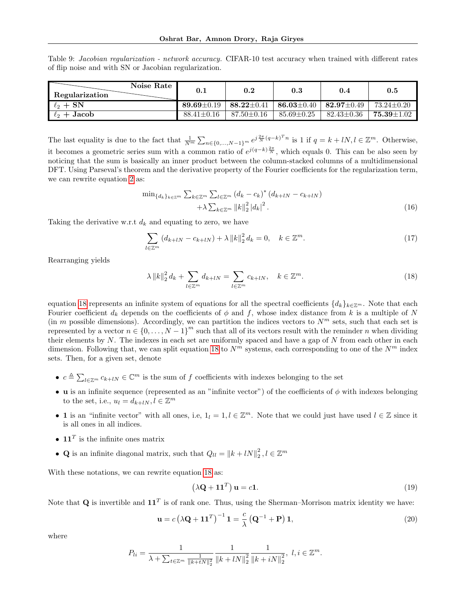<span id="page-14-0"></span>Table 9: Jacobian regularization - network accuracy. CIFAR-10 test accuracy when trained with different rates of flip noise and with SN or Jacobian regularization.

| Noise Rate<br>Regularization | 0.1              | 0.2              | $\rm 0.3$                                         | 0.4              | 0.5              |
|------------------------------|------------------|------------------|---------------------------------------------------|------------------|------------------|
| $\ell_2 + SN$                | $89.69 + 0.19$   | 88.22 $\pm$ 0.41 | $\perp$ 86.03 $\pm$ 0.40 $\perp$ 82.97 $\pm$ 0.49 |                  | $73.24 \pm 0.20$ |
| $\ell_2 +$ Jacob             | $88.41 \pm 0.16$ | $87.50 \pm 0.16$ | $85.69 \pm 0.25$                                  | $82.43 \pm 0.36$ | $75.39 + 1.02$   |

The last equality is due to the fact that  $\frac{1}{N^m} \sum_{n \in \{0, ..., N-1\}^m} e^{j\frac{2\pi}{N}(q-k)^T n}$  is 1 if  $q = k + lN, l \in \mathbb{Z}^m$ . Otherwise, it becomes a geometric series sum with a common ratio of  $e^{j(q-k)\frac{2\pi}{N}}$ , which equals 0. This can be also seen by noticing that the sum is basically an inner product between the column-stacked columns of a multidimensional DFT. Using Parseval's theorem and the derivative property of the Fourier coefficients for the regularization term, we can rewrite equation [2](#page-3-1) as:

$$
\min_{\{d_k\}_{k\in\mathbb{Z}^m}\sum_{k\in\mathbb{Z}^m}\sum_{l\in\mathbb{Z}^m} (d_k - c_k)^* (d_{k+lN} - c_{k+lN}) + \lambda \sum_{k\in\mathbb{Z}^m} ||k||_2^2 |d_k|^2.
$$
\n(16)

Taking the derivative w.r.t  $d_k$  and equating to zero, we have

$$
\sum_{l \in \mathbb{Z}^m} \left( d_{k+lN} - c_{k+lN} \right) + \lambda \left\| k \right\|_2^2 d_k = 0, \quad k \in \mathbb{Z}^m. \tag{17}
$$

Rearranging yields

<span id="page-14-1"></span>
$$
\lambda \|k\|_2^2 d_k + \sum_{l \in \mathbb{Z}^m} d_{k+l} = \sum_{l \in \mathbb{Z}^m} c_{k+l} , \quad k \in \mathbb{Z}^m.
$$
 (18)

equation [18](#page-14-1) represents an infinite system of equations for all the spectral coefficients  $\{d_k\}_{k\in\mathbb{Z}^m}$ . Note that each Fourier coefficient  $d_k$  depends on the coefficients of  $\phi$  and f, whose index distance from k is a multiple of N (in m possible dimensions). Accordingly, we can partition the indices vectors to  $N^m$  sets, such that each set is represented by a vector  $n \in \{0, \ldots, N-1\}^m$  such that all of its vectors result with the reminder n when dividing their elements by  $N$ . The indexes in each set are uniformly spaced and have a gap of  $N$  from each other in each dimension. Following that, we can split equation [18](#page-14-1) to  $N^m$  systems, each corresponding to one of the  $N^m$  index sets. Then, for a given set, denote

- $c \triangleq \sum_{l \in \mathbb{Z}^m} c_{k+l} \in \mathbb{C}^m$  is the sum of f coefficients with indexes belonging to the set
- u is an infinite sequence (represented as an "infinite vector") of the coefficients of  $\phi$  with indexes belonging to the set, i.e.,  $u_l = d_{k+lN}, l \in \mathbb{Z}^m$
- 1 is an "infinite vector" with all ones, i.e,  $1_l = 1, l \in \mathbb{Z}^m$ . Note that we could just have used  $l \in \mathbb{Z}$  since it is all ones in all indices.
- $11<sup>T</sup>$  is the infinite ones matrix
- Q is an infinite diagonal matrix, such that  $Q_{ll} = ||k + lN||_2^2$ ,  $l \in \mathbb{Z}^m$

With these notations, we can rewrite equation [18](#page-14-1) as:

$$
(\lambda \mathbf{Q} + \mathbf{1} \mathbf{1}^T) \mathbf{u} = c\mathbf{1}.
$$
 (19)

Note that Q is invertible and  $11^T$  is of rank one. Thus, using the Sherman–Morrison matrix identity we have:

$$
\mathbf{u} = c \left( \lambda \mathbf{Q} + \mathbf{1} \mathbf{1}^T \right)^{-1} \mathbf{1} = \frac{c}{\lambda} \left( \mathbf{Q}^{-1} + \mathbf{P} \right) \mathbf{1},\tag{20}
$$

where

$$
P_{li} = \frac{1}{\lambda + \sum_{t \in \mathbb{Z}^m} \frac{1}{\|k + tN\|_2^2}} \frac{1}{\|k + lN\|_2^2} \frac{1}{\|k + iN\|_2^2}, \ l, i \in \mathbb{Z}^m.
$$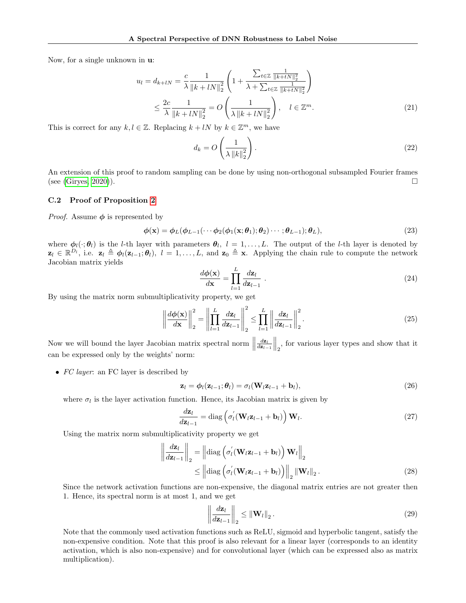Now, for a single unknown in u:

$$
u_{l} = d_{k+l} = \frac{c}{\lambda} \frac{1}{\|k+l} \left( 1 + \frac{\sum_{t \in \mathbb{Z}} \frac{1}{\|k+l} \sum_{l \in \mathbb{Z}}}{\lambda + \sum_{t \in \mathbb{Z}} \frac{1}{\|k+l} \sum_{l \in \mathbb{Z}}}{\lambda}} \right)
$$
  

$$
\leq \frac{2c}{\lambda} \frac{1}{\|k+l} \sum_{l \in \mathbb{Z}}^{2} = O\left(\frac{1}{\lambda\|k+l} \sum_{l \in \mathbb{Z}}^{2}\right), \quad l \in \mathbb{Z}^{m}.
$$
 (21)

This is correct for any  $k, l \in \mathbb{Z}$ . Replacing  $k + lN$  by  $k \in \mathbb{Z}^m$ , we have

$$
d_k = O\left(\frac{1}{\lambda \left\|k\right\|_2^2}\right). \tag{22}
$$

An extension of this proof to random sampling can be done by using non-orthogonal subsampled Fourier frames (see [\(Giryes, 2020\)](#page-9-4)).

### C.2 Proof of Proposition [2](#page-3-3)

*Proof.* Assume  $\phi$  is represented by

$$
\phi(\mathbf{x}) = \phi_L(\phi_{L-1}(\cdots \phi_2(\phi_1(\mathbf{x}; \theta_1); \theta_2) \cdots; \theta_{L-1}); \theta_L),
$$
\n(23)

where  $\phi_l(\cdot;\theta_l)$  is the *l*-th layer with parameters  $\theta_l$ ,  $l=1,\ldots,L$ . The output of the *l*-th layer is denoted by  $\mathbf{z}_l \in \mathbb{R}^{D_l}$ , i.e.  $\mathbf{z}_l \triangleq \boldsymbol{\phi}_l(\mathbf{z}_{l-1}; \boldsymbol{\theta}_l), l = 1, \ldots, L$ , and  $\mathbf{z}_0 \triangleq \mathbf{x}$ . Applying the chain rule to compute the network Jacobian matrix yields

$$
\frac{d\phi(\mathbf{x})}{d\mathbf{x}} = \prod_{l=1}^{L} \frac{d\mathbf{z}_l}{d\mathbf{z}_{l-1}} \tag{24}
$$

By using the matrix norm submultiplicativity property, we get

<span id="page-15-0"></span>
$$
\left\| \frac{d\phi(\mathbf{x})}{d\mathbf{x}} \right\|_2^2 = \left\| \prod_{l=1}^L \frac{d\mathbf{z}_l}{d\mathbf{z}_{l-1}} \right\|_2^2 \le \prod_{l=1}^L \left\| \frac{d\mathbf{z}_l}{d\mathbf{z}_{l-1}} \right\|_2^2.
$$
 (25)

Now we will bound the layer Jacobian matrix spectral norm  $\parallel$  $\left\| \frac{d\mathbf{z}_l}{d\mathbf{z}_{l-1}} \right\|_2$ , for various layer types and show that it can be expressed only by the weights' norm:

• FC layer: an FC layer is described by

$$
\mathbf{z}_l = \boldsymbol{\phi}_l(\mathbf{z}_{l-1}; \boldsymbol{\theta}_l) = \sigma_l(\mathbf{W}_l \mathbf{z}_{l-1} + \mathbf{b}_l),
$$
\n(26)

where  $\sigma_l$  is the layer activation function. Hence, its Jacobian matrix is given by

$$
\frac{d\mathbf{z}_l}{d\mathbf{z}_{l-1}} = \text{diag}\left(\sigma'_l(\mathbf{W}_l \mathbf{z}_{l-1} + \mathbf{b}_l)\right) \mathbf{W}_l.
$$
\n(27)

Using the matrix norm submultiplicativity property we get

$$
\left\| \frac{d\mathbf{z}_l}{d\mathbf{z}_{l-1}} \right\|_2 = \left\| \text{diag}\left( \sigma_l'(\mathbf{W}_l \mathbf{z}_{l-1} + \mathbf{b}_l) \right) \mathbf{W}_l \right\|_2
$$
  
\$\leq\$  $\left\| \text{diag}\left( \sigma_l'(\mathbf{W}_l \mathbf{z}_{l-1} + \mathbf{b}_l) \right) \right\|_2 \left\| \mathbf{W}_l \right\|_2.$  (28)

Since the network activation functions are non-expensive, the diagonal matrix entries are not greater then 1. Hence, its spectral norm is at most 1, and we get

$$
\left\| \frac{d\mathbf{z}_l}{d\mathbf{z}_{l-1}} \right\|_2 \le \left\| \mathbf{W}_l \right\|_2.
$$
 (29)

Note that the commonly used activation functions such as ReLU, sigmoid and hyperbolic tangent, satisfy the non-expensive condition. Note that this proof is also relevant for a linear layer (corresponds to an identity activation, which is also non-expensive) and for convolutional layer (which can be expressed also as matrix multiplication).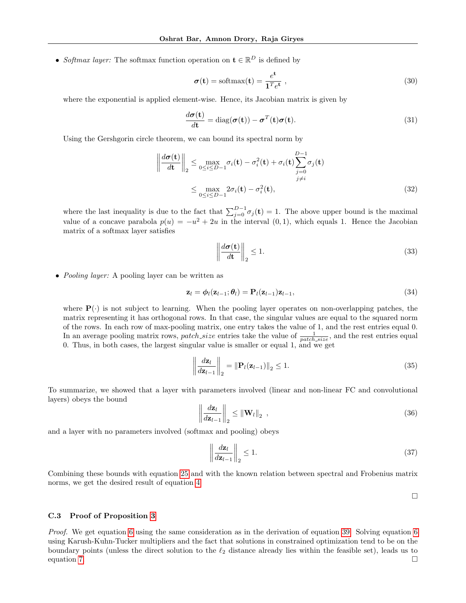• Softmax layer: The softmax function operation on  $\mathbf{t} \in \mathbb{R}^D$  is defined by

$$
\sigma(\mathbf{t}) = \text{softmax}(\mathbf{t}) = \frac{e^{\mathbf{t}}}{\mathbf{1}^T e^{\mathbf{t}}},
$$
\n(30)

where the exponential is applied element-wise. Hence, its Jacobian matrix is given by

$$
\frac{d\boldsymbol{\sigma}(\mathbf{t})}{d\mathbf{t}} = \text{diag}(\boldsymbol{\sigma}(\mathbf{t})) - \boldsymbol{\sigma}^T(\mathbf{t})\boldsymbol{\sigma}(\mathbf{t}).
$$
\n(31)

Using the Gershgorin circle theorem, we can bound its spectral norm by

$$
\left\| \frac{d\sigma(\mathbf{t})}{d\mathbf{t}} \right\|_2 \le \max_{0 \le i \le D-1} \sigma_i(\mathbf{t}) - \sigma_i^2(\mathbf{t}) + \sigma_i(\mathbf{t}) \sum_{\substack{j=0 \ j \ne i}}^{D-1} \sigma_j(\mathbf{t})
$$

$$
\le \max_{0 \le i \le D-1} 2\sigma_i(\mathbf{t}) - \sigma_i^2(\mathbf{t}), \tag{32}
$$

where the last inequality is due to the fact that  $\sum_{j=0}^{D-1} \sigma_j(\mathbf{t}) = 1$ . The above upper bound is the maximal value of a concave parabola  $p(u) = -u^2 + 2u$  in the interval  $(0, 1)$ , which equals 1. Hence the Jacobian matrix of a softmax layer satisfies

$$
\left\| \frac{d\sigma(t)}{dt} \right\|_2 \le 1. \tag{33}
$$

• *Pooling layer:* A pooling layer can be written as

$$
\mathbf{z}_l = \boldsymbol{\phi}_l(\mathbf{z}_{l-1}; \boldsymbol{\theta}_l) = \mathbf{P}_l(\mathbf{z}_{l-1})\mathbf{z}_{l-1},
$$
\n(34)

where  $P(\cdot)$  is not subject to learning. When the pooling layer operates on non-overlapping patches, the matrix representing it has orthogonal rows. In that case, the singular values are equal to the squared norm of the rows. In each row of max-pooling matrix, one entry takes the value of 1, and the rest entries equal 0. In an average pooling matrix rows, *patch\_size* entries take the value of  $\frac{1}{patch.size}$ , and the rest entries equal 0. Thus, in both cases, the largest singular value is smaller or equal 1, and we get

$$
\left\| \frac{d\mathbf{z}_l}{d\mathbf{z}_{l-1}} \right\|_2 = \left\| \mathbf{P}_l(\mathbf{z}_{l-1}) \right\|_2 \le 1. \tag{35}
$$

To summarize, we showed that a layer with parameters involved (linear and non-linear FC and convolutional layers) obeys the bound

$$
\left\| \frac{d\mathbf{z}_l}{d\mathbf{z}_{l-1}} \right\|_2 \le \left\| \mathbf{W}_l \right\|_2 , \tag{36}
$$

and a layer with no parameters involved (softmax and pooling) obeys

$$
\left\| \frac{d\mathbf{z}_l}{d\mathbf{z}_{l-1}} \right\|_2 \le 1. \tag{37}
$$

Combining these bounds with equation [25](#page-15-0) and with the known relation between spectral and Frobenius matrix norms, we get the desired result of equation [4](#page-3-2)

 $\Box$ 

#### C.3 Proof of Proposition [3](#page-5-0)

Proof. We get equation [6](#page-5-6) using the same consideration as in the derivation of equation [39.](#page-17-0) Solving equation [6](#page-5-6) using Karush-Kuhn-Tucker multipliers and the fact that solutions in constrained optimization tend to be on the boundary points (unless the direct solution to the  $\ell_2$  distance already lies within the feasible set), leads us to equation [7.](#page-5-7)  $\Box$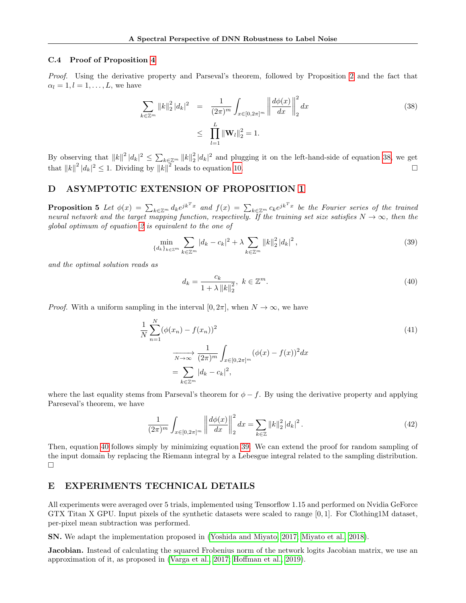#### C.4 Proof of Proposition [4](#page-5-5)

Proof. Using the derivative property and Parseval's theorem, followed by Proposition [2](#page-3-3) and the fact that  $\alpha_l = 1, l = 1, \ldots, L$ , we have

<span id="page-17-1"></span>
$$
\sum_{k \in \mathbb{Z}^m} ||k||_2^2 |d_k|^2 = \frac{1}{(2\pi)^m} \int_{x \in [0, 2\pi]^m} \left\| \frac{d\phi(x)}{dx} \right\|_2^2 dx
$$
\n
$$
\leq \prod_{l=1}^L ||\mathbf{W}_l||_2^2 = 1.
$$
\n(38)

By observing that  $||k||^2 |d_k|^2 \leq \sum_{k \in \mathbb{Z}^m} ||k||_2^2 |d_k|^2$  and plugging it on the left-hand-side of equation [38,](#page-17-1) we get that  $||k||^2 |d_k|^2 \leq 1$ . Dividing by  $||k||^2$  leads to equation [10.](#page-5-4)

## D ASYMPTOTIC EXTENSION OF PROPOSITION [1](#page-3-0)

**Proposition 5** Let  $\phi(x) = \sum_{k \in \mathbb{Z}^m} d_k e^{jk^T x}$  and  $f(x) = \sum_{k \in \mathbb{Z}^m} c_k e^{jk^T x}$  be the Fourier series of the trained neural network and the target mapping function, respectively. If the training set size satisfies  $N \to \infty$ , then the global optimum of equation [2](#page-3-1) is equivalent to the one of

<span id="page-17-0"></span>
$$
\min_{\{d_k\}_{k\in\mathbb{Z}^m}} \sum_{k\in\mathbb{Z}^m} |d_k - c_k|^2 + \lambda \sum_{k\in\mathbb{Z}^m} \|k\|_2^2 |d_k|^2,
$$
\n(39)

and the optimal solution reads as

<span id="page-17-2"></span>
$$
d_k = \frac{c_k}{1 + \lambda \|k\|_2^2}, \ k \in \mathbb{Z}^m.
$$
 (40)

*Proof.* With a uniform sampling in the interval [0,  $2\pi$ ], when  $N \to \infty$ , we have

$$
\frac{1}{N} \sum_{n=1}^{N} (\phi(x_n) - f(x_n))^2
$$
\n
$$
\xrightarrow[N \to \infty]{N \to \infty} \frac{1}{(2\pi)^m} \int_{x \in [0, 2\pi]^m} (\phi(x) - f(x))^2 dx
$$
\n
$$
= \sum_{k \in \mathbb{Z}^m} |d_k - c_k|^2,
$$
\n(41)

where the last equality stems from Parseval's theorem for  $\phi - f$ . By using the derivative property and applying Pareseval's theorem, we have

$$
\frac{1}{(2\pi)^m} \int_{x \in [0, 2\pi]^m} \left\| \frac{d\phi(x)}{dx} \right\|_2^2 dx = \sum_{k \in \mathbb{Z}} \|k\|_2^2 |d_k|^2.
$$
 (42)

Then, equation [40](#page-17-2) follows simply by minimizing equation [39.](#page-17-0) We can extend the proof for random sampling of the input domain by replacing the Riemann integral by a Lebesgue integral related to the sampling distribution.  $\Box$ 

## E EXPERIMENTS TECHNICAL DETAILS

All experiments were averaged over 5 trials, implemented using Tensorflow 1.15 and performed on Nvidia GeForce GTX Titan X GPU. Input pixels of the synthetic datasets were scaled to range [0, 1]. For Clothing1M dataset, per-pixel mean subtraction was performed.

SN. We adapt the implementation proposed in [\(Yoshida and Miyato, 2017;](#page-11-2) [Miyato et al., 2018\)](#page-10-6).

**Jacobian.** Instead of calculating the squared Frobenius norm of the network logits Jacobian matrix, we use an approximation of it, as proposed in [\(Varga et al., 2017;](#page-11-13) [Hoffman et al., 2019\)](#page-9-21).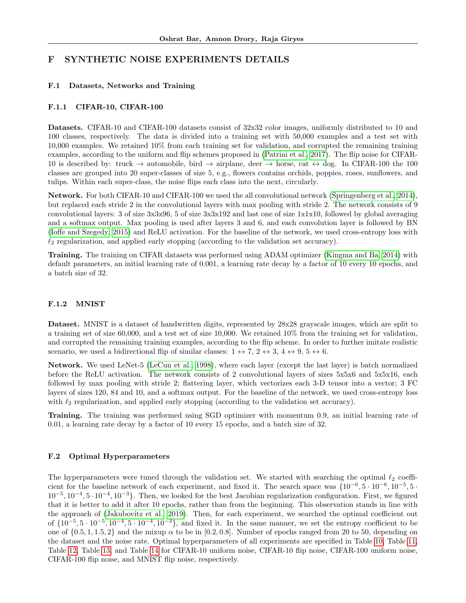## F SYNTHETIC NOISE EXPERIMENTS DETAILS

### F.1 Datasets, Networks and Training

#### F.1.1 CIFAR-10, CIFAR-100

Datasets. CIFAR-10 and CIFAR-100 datasets consist of 32x32 color images, uniformly distributed to 10 and 100 classes, respectively. The data is divided into a training set with 50,000 examples and a test set with 10,000 examples. We retained 10% from each training set for validation, and corrupted the remaining training examples, according to the uniform and flip schemes proposed in [\(Patrini et al., 2017\)](#page-10-9). The flip noise for CIFAR-10 is described by: truck  $\rightarrow$  automobile, bird  $\rightarrow$  airplane, deer  $\rightarrow$  horse, cat  $\leftrightarrow$  dog. In CIFAR-100 the 100 classes are grouped into 20 super-classes of size 5, e.g., flowers contains orchids, poppies, roses, sunflowers, and tulips. Within each super-class, the noise flips each class into the next, circularly.

Network. For both CIFAR-10 and CIFAR-100 we used the all convolutional network [\(Springenberg et al., 2014\)](#page-10-26), but replaced each stride 2 in the convolutional layers with max pooling with stride 2. The network consists of 9 convolutional layers: 3 of size 3x3x96, 5 of size 3x3x192 and last one of size 1x1x10, followed by global averaging and a softmax output. Max pooling is used after layers 3 and 6, and each convolution layer is followed by BN [\(Ioffe and Szegedy, 2015\)](#page-9-26) and ReLU activation. For the baseline of the network, we used cross-entropy loss with  $\ell_2$  regularization, and applied early stopping (according to the validation set accuracy).

Training. The training on CIFAR datasets was performed using ADAM optimizer [\(Kingma and Ba, 2014\)](#page-9-27) with default parameters, an initial learning rate of 0.001, a learning rate decay by a factor of 10 every 10 epochs, and a batch size of 32.

### F.1.2 MNIST

Dataset. MNIST is a dataset of handwritten digits, represented by 28x28 grayscale images, which are split to a training set of size 60,000, and a test set of size 10,000. We retained 10% from the training set for validation, and corrupted the remaining training examples, according to the flip scheme. In order to further imitate realistic scenario, we used a bidirectional flip of similar classes:  $1 \leftrightarrow 7, 2 \leftrightarrow 3, 4 \leftrightarrow 9, 5 \leftrightarrow 6.$ 

Network. We used LeNet-5 [\(LeCun et al., 1998\)](#page-10-27), where each layer (except the last layer) is batch normalized before the ReLU activation. The network consists of 2 convolutional layers of sizes 5x5x6 and 5x5x16, each followed by max pooling with stride 2; flattering layer, which vectorizes each 3-D tensor into a vector; 3 FC layers of sizes 120, 84 and 10, and a softmax output. For the baseline of the network, we used cross-entropy loss with  $\ell_2$  regularization, and applied early stopping (according to the validation set accuracy).

Training. The training was performed using SGD optimizer with momentum 0.9, an initial learning rate of 0.01, a learning rate decay by a factor of 10 every 15 epochs, and a batch size of 32.

#### F.2 Optimal Hyperparameters

The hyperparameters were tuned through the validation set. We started with searching the optimal  $\ell_2$  coefficient for the baseline network of each experiment, and fixed it. The search space was  $\{10^{-6}, 5 \cdot 10^{-6}, 10^{-5}, 5 \cdot 10^{-6}\}$  $10^{-5}$ ,  $10^{-4}$ ,  $5 \cdot 10^{-4}$ ,  $10^{-3}$ . Then, we looked for the best Jacobian regularization configuration. First, we figured that it is better to add it after 10 epochs, rather than from the beginning. This observation stands in line with the approach of [\(Jakubovitz et al., 2019\)](#page-9-28). Then, for each experiment, we searched the optimal coefficient out of  $\{10^{-5}, 5 \cdot 10^{-5}, 10^{-4}, 5 \cdot 10^{-4}, 10^{-3}\}$ , and fixed it. In the same manner, we set the entropy coefficient to be one of  $\{0.5, 1, 1.5, 2\}$  and the mixup  $\alpha$  to be in [0.2, 0.8]. Number of epochs ranged from 20 to 50, depending on the dataset and the noise rate. Optimal hyperparameters of all experiments are specified in Table [10,](#page-19-0) Table [11,](#page-19-1) Table [12,](#page-19-2) Table [13,](#page-19-3) and Table [14](#page-19-4) for CIFAR-10 uniform noise, CIFAR-10 flip noise, CIFAR-100 uniform noise, CIFAR-100 flip noise, and MNIST flip noise, respectively.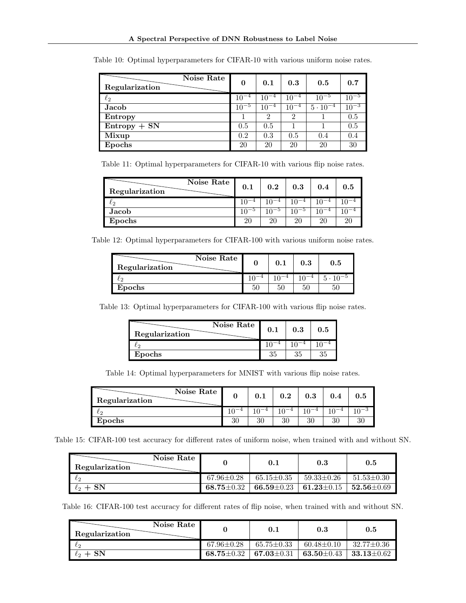| Noise Rate<br>Regularization | 0         | 0.1           | 0.3           | 0.5               | 0.7       |
|------------------------------|-----------|---------------|---------------|-------------------|-----------|
| $\ell_2$                     | $10^{-4}$ | $10^{-4}$     | $10^{-4}$     | $10^{-5}$         | $10^{-5}$ |
| Jacob                        | $10^{-5}$ | $10^{-4}$     | $10^{-4}$     | $5 \cdot 10^{-4}$ | $10^{-3}$ |
| Entropy                      |           | $\mathcal{D}$ | $\mathcal{D}$ |                   | 0.5       |
| $Entropy + SN$               | 0.5       | 0.5           |               |                   | 0.5       |
| Mixup                        | 0.2       | 0.3           | 0.5           | 0.4               | 0.4       |
| Epochs                       | 20        | 20            | 20            | 20                | 30        |

<span id="page-19-0"></span>Table 10: Optimal hyperparameters for CIFAR-10 with various uniform noise rates.

<span id="page-19-1"></span>Table 11: Optimal hyperparameters for CIFAR-10 with various flip noise rates.

| Noise Rate<br>Regularization | 0.1  | 0.2       | 0.3 | 0.4  | 0.5 |
|------------------------------|------|-----------|-----|------|-----|
| ιŋ                           |      |           |     |      |     |
| Jacob                        | 1∩−Ե | $10^{-5}$ |     | $-4$ |     |
| Epochs                       | 20   | 20        | 20  | 20   |     |

<span id="page-19-2"></span>Table 12: Optimal hyperparameters for CIFAR-100 with various uniform noise rates.

| Noise Rate<br>Regularization | 0.1 | $\rm 0.3$ | $\rm 0.5$ |
|------------------------------|-----|-----------|-----------|
| دى                           |     |           |           |
| Epochs                       | 50  | 50        |           |

<span id="page-19-3"></span>Table 13: Optimal hyperparameters for CIFAR-100 with various flip noise rates.

| Regularization | Noise Rate<br>0.1 | 0.3 | 0.5 |
|----------------|-------------------|-----|-----|
|                |                   |     |     |
| Epochs         | 35                | 25  | 35  |

Table 14: Optimal hyperparameters for MNIST with various flip noise rates.

<span id="page-19-4"></span>

| Noise Rate<br>Regularization |    |    | $0.2\,$ | $\rm 0.3$ |    | $\rm 0.5$ |
|------------------------------|----|----|---------|-----------|----|-----------|
|                              |    |    |         |           |    |           |
| Epochs                       | 30 | ാ∩ | 30      | 30        | 20 |           |

<span id="page-19-5"></span>Table 15: CIFAR-100 test accuracy for different rates of uniform noise, when trained with and without SN.

| Noise Rate<br>Regularization |                  | 0.1                                                 | 0.3                | 0.5                |
|------------------------------|------------------|-----------------------------------------------------|--------------------|--------------------|
| $\ell_2$                     | $67.96 \pm 0.28$ | $65.15 {\pm} 0.35$                                  | $59.33 {\pm} 0.26$ | $51.53 \pm 0.30$   |
| $\ell_2 + SN$                | 68.75 $\pm$ 0.32 | $\pm$ 66.59 $\pm$ 0.23 $\pm$ 61.23 $\pm$ 0.15 $\pm$ |                    | $1.52.56 \pm 0.69$ |

<span id="page-19-6"></span>Table 16: CIFAR-100 test accuracy for different rates of flip noise, when trained with and without SN.

| Noise Rate I<br>Regularization |                               | 0.1                | 0.3                           | 0.5               |
|--------------------------------|-------------------------------|--------------------|-------------------------------|-------------------|
| $\ell_{2}$                     | $67.96 \pm 0.28$              | $65.75 \pm 0.33$   | $60.48 \pm 0.10$              | $-32.77 \pm 0.36$ |
| $\ell_2 + SN$                  | $\textbf{68.75} \!\pm\! 0.32$ | $67.03 {\pm} 0.31$ | $\textbf{63.50} \!\pm\! 0.43$ | $33.13 \pm 0.62$  |